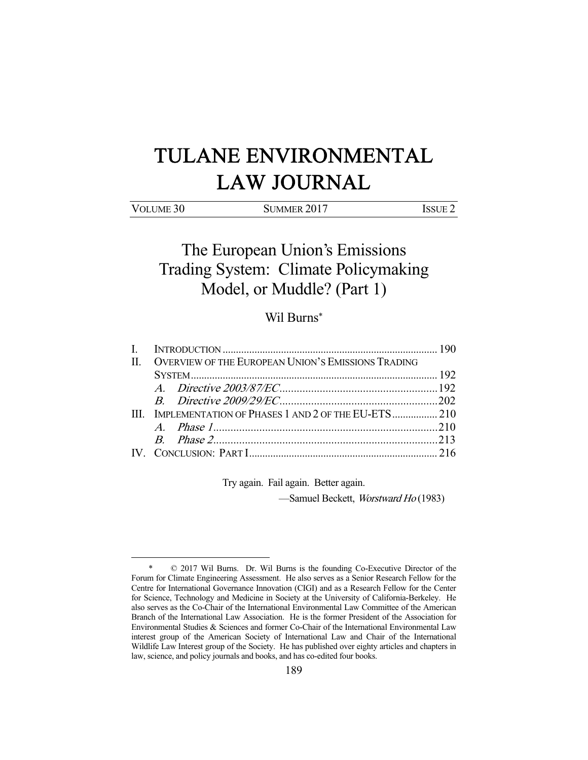# TULANE ENVIRONMENTAL LAW JOURNAL

| VOLUME 30 | SUMMER 2017 | <b>ISSUE 2</b> |
|-----------|-------------|----------------|

The European Union's Emissions Trading System: Climate Policymaking Model, or Muddle? (Part 1)

# Wil Burns\*

| $\mathbf{I}$ |                                                        |                                                         |  |
|--------------|--------------------------------------------------------|---------------------------------------------------------|--|
|              | II. OVERVIEW OF THE EUROPEAN UNION'S EMISSIONS TRADING |                                                         |  |
|              |                                                        |                                                         |  |
|              |                                                        |                                                         |  |
|              |                                                        |                                                         |  |
|              |                                                        | III. IMPLEMENTATION OF PHASES 1 AND 2 OF THE EU-ETS 210 |  |
|              |                                                        |                                                         |  |
|              |                                                        |                                                         |  |
|              |                                                        |                                                         |  |

Try again. Fail again. Better again.

—Samuel Beckett, Worstward Ho (1983)

<sup>-</sup> \* © 2017 Wil Burns. Dr. Wil Burns is the founding Co-Executive Director of the Forum for Climate Engineering Assessment. He also serves as a Senior Research Fellow for the Centre for International Governance Innovation (CIGI) and as a Research Fellow for the Center for Science, Technology and Medicine in Society at the University of California-Berkeley. He also serves as the Co-Chair of the International Environmental Law Committee of the American Branch of the International Law Association. He is the former President of the Association for Environmental Studies & Sciences and former Co-Chair of the International Environmental Law interest group of the American Society of International Law and Chair of the International Wildlife Law Interest group of the Society. He has published over eighty articles and chapters in law, science, and policy journals and books, and has co-edited four books.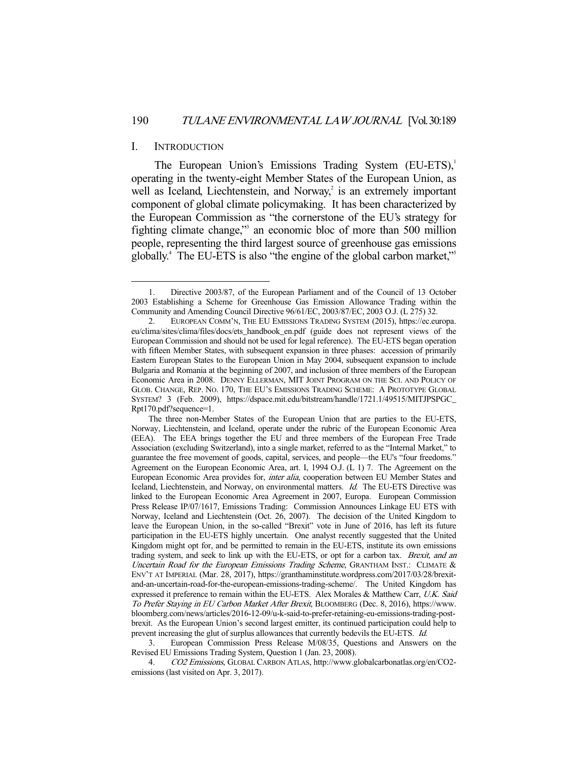#### I. INTRODUCTION

-

The European Union's Emissions Trading System (EU-ETS),<sup>1</sup> operating in the twenty-eight Member States of the European Union, as well as Iceland, Liechtenstein, and Norway, $2$  is an extremely important component of global climate policymaking. It has been characterized by the European Commission as "the cornerstone of the EU's strategy for fighting climate change," an economic bloc of more than 500 million people, representing the third largest source of greenhouse gas emissions globally.<sup>4</sup> The EU-ETS is also "the engine of the global carbon market,"<sup>5</sup>

 3. European Commission Press Release M/08/35, Questions and Answers on the Revised EU Emissions Trading System, Question 1 (Jan. 23, 2008).

 4. CO2 Emissions, GLOBAL CARBON ATLAS, http://www.globalcarbonatlas.org/en/CO2 emissions (last visited on Apr. 3, 2017).

 <sup>1.</sup> Directive 2003/87, of the European Parliament and of the Council of 13 October 2003 Establishing a Scheme for Greenhouse Gas Emission Allowance Trading within the Community and Amending Council Directive 96/61/EC, 2003/87/EC, 2003 O.J. (L 275) 32.

 <sup>2.</sup> EUROPEAN COMM'N, THE EU EMISSIONS TRADING SYSTEM (2015), https://ec.europa. eu/clima/sites/clima/files/docs/ets\_handbook\_en.pdf (guide does not represent views of the European Commission and should not be used for legal reference). The EU-ETS began operation with fifteen Member States, with subsequent expansion in three phases: accession of primarily Eastern European States to the European Union in May 2004, subsequent expansion to include Bulgaria and Romania at the beginning of 2007, and inclusion of three members of the European Economic Area in 2008. DENNY ELLERMAN, MIT JOINT PROGRAM ON THE SCI. AND POLICY OF GLOB. CHANGE, REP. NO. 170, THE EU'S EMISSIONS TRADING SCHEME: A PROTOTYPE GLOBAL SYSTEM? 3 (Feb. 2009), https://dspace.mit.edu/bitstream/handle/1721.1/49515/MITJPSPGC\_ Rpt170.pdf?sequence=1.

The three non-Member States of the European Union that are parties to the EU-ETS, Norway, Liechtenstein, and Iceland, operate under the rubric of the European Economic Area (EEA). The EEA brings together the EU and three members of the European Free Trade Association (excluding Switzerland), into a single market, referred to as the "Internal Market," to guarantee the free movement of goods, capital, services, and people—the EU's "four freedoms." Agreement on the European Economic Area, art. I, 1994 O.J. (L 1) 7. The Agreement on the European Economic Area provides for, inter alia, cooperation between EU Member States and Iceland, Liechtenstein, and Norway, on environmental matters. Id. The EU-ETS Directive was linked to the European Economic Area Agreement in 2007, Europa. European Commission Press Release IP/07/1617, Emissions Trading: Commission Announces Linkage EU ETS with Norway, Iceland and Liechtenstein (Oct. 26, 2007). The decision of the United Kingdom to leave the European Union, in the so-called "Brexit" vote in June of 2016, has left its future participation in the EU-ETS highly uncertain. One analyst recently suggested that the United Kingdom might opt for, and be permitted to remain in the EU-ETS, institute its own emissions trading system, and seek to link up with the EU-ETS, or opt for a carbon tax. Brexit, and an Uncertain Road for the European Emissions Trading Scheme, GRANTHAM INST.: CLIMATE & ENV'T AT IMPERIAL (Mar. 28, 2017), https://granthaminstitute.wordpress.com/2017/03/28/brexitand-an-uncertain-road-for-the-european-emissions-trading-scheme/. The United Kingdom has expressed it preference to remain within the EU-ETS. Alex Morales & Matthew Carr, U.K. Said To Prefer Staying in EU Carbon Market After Brexit, BLOOMBERG (Dec. 8, 2016), https://www. bloomberg.com/news/articles/2016-12-09/u-k-said-to-prefer-retaining-eu-emissions-trading-postbrexit. As the European Union's second largest emitter, its continued participation could help to prevent increasing the glut of surplus allowances that currently bedevils the EU-ETS. Id.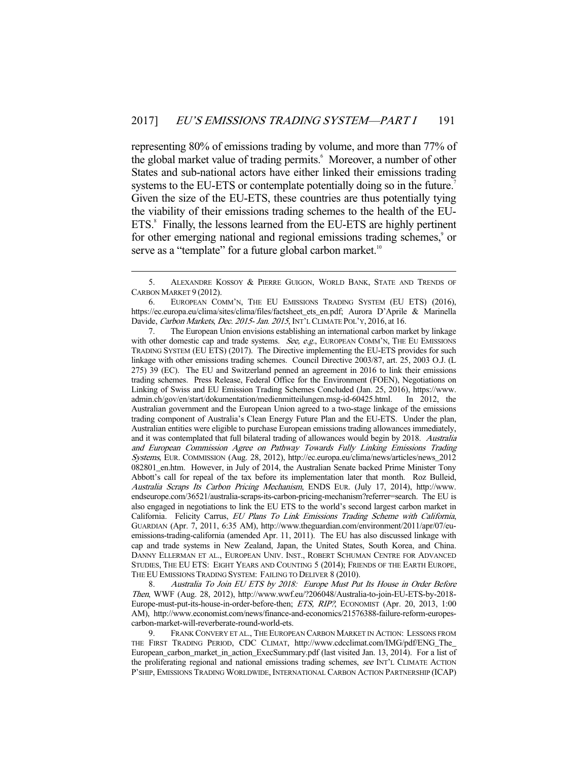representing 80% of emissions trading by volume, and more than 77% of the global market value of trading permits.<sup>6</sup> Moreover, a number of other States and sub-national actors have either linked their emissions trading systems to the EU-ETS or contemplate potentially doing so in the future.<sup>7</sup> Given the size of the EU-ETS, these countries are thus potentially tying the viability of their emissions trading schemes to the health of the EU-ETS.<sup>8</sup> Finally, the lessons learned from the EU-ETS are highly pertinent for other emerging national and regional emissions trading schemes,<sup>9</sup> or serve as a "template" for a future global carbon market.<sup>10</sup>

-

 7. The European Union envisions establishing an international carbon market by linkage with other domestic cap and trade systems. See, e.g., EUROPEAN COMM'N, THE EU EMISSIONS TRADING SYSTEM (EU ETS) (2017). The Directive implementing the EU-ETS provides for such linkage with other emissions trading schemes. Council Directive 2003/87, art. 25, 2003 O.J. (L 275) 39 (EC). The EU and Switzerland penned an agreement in 2016 to link their emissions trading schemes. Press Release, Federal Office for the Environment (FOEN), Negotiations on Linking of Swiss and EU Emission Trading Schemes Concluded (Jan. 25, 2016), https://www. admin.ch/gov/en/start/dokumentation/medienmitteilungen.msg-id-60425.html. In 2012, the Australian government and the European Union agreed to a two-stage linkage of the emissions trading component of Australia's Clean Energy Future Plan and the EU-ETS. Under the plan, Australian entities were eligible to purchase European emissions trading allowances immediately, and it was contemplated that full bilateral trading of allowances would begin by 2018. Australia and European Commission Agree on Pathway Towards Fully Linking Emissions Trading Systems, EUR. COMMISSION (Aug. 28, 2012), http://ec.europa.eu/clima/news/articles/news\_2012 082801\_en.htm. However, in July of 2014, the Australian Senate backed Prime Minister Tony Abbott's call for repeal of the tax before its implementation later that month. Roz Bulleid, Australia Scraps Its Carbon Pricing Mechanism, ENDS EUR. (July 17, 2014), http://www. endseurope.com/36521/australia-scraps-its-carbon-pricing-mechanism?referrer=search. The EU is also engaged in negotiations to link the EU ETS to the world's second largest carbon market in California. Felicity Carrus, EU Plans To Link Emissions Trading Scheme with California, GUARDIAN (Apr. 7, 2011, 6:35 AM), http://www.theguardian.com/environment/2011/apr/07/euemissions-trading-california (amended Apr. 11, 2011). The EU has also discussed linkage with cap and trade systems in New Zealand, Japan, the United States, South Korea, and China. DANNY ELLERMAN ET AL., EUROPEAN UNIV. INST., ROBERT SCHUMAN CENTRE FOR ADVANCED STUDIES, THE EU ETS: EIGHT YEARS AND COUNTING 5 (2014); FRIENDS OF THE EARTH EUROPE, THE EU EMISSIONS TRADING SYSTEM: FAILING TO DELIVER 8 (2010).

 8. Australia To Join EU ETS by 2018: Europe Must Put Its House in Order Before Then, WWF (Aug. 28, 2012), http://www.wwf.eu/?206048/Australia-to-join-EU-ETS-by-2018- Europe-must-put-its-house-in-order-before-then; ETS, RIP?, ECONOMIST (Apr. 20, 2013, 1:00 AM), http://www.economist.com/news/finance-and-economics/21576388-failure-reform-europescarbon-market-will-reverberate-round-world-ets.

 9. FRANK CONVERY ET AL., THE EUROPEAN CARBON MARKET IN ACTION: LESSONS FROM THE FIRST TRADING PERIOD, CDC CLIMAT, http://www.cdcclimat.com/IMG/pdf/ENG\_The\_ European\_carbon\_market\_in\_action\_ExecSummary.pdf (last visited Jan. 13, 2014). For a list of the proliferating regional and national emissions trading schemes, see INT'L CLIMATE ACTION P'SHIP, EMISSIONS TRADING WORLDWIDE, INTERNATIONAL CARBON ACTION PARTNERSHIP (ICAP)

 <sup>5.</sup> ALEXANDRE KOSSOY & PIERRE GUIGON, WORLD BANK, STATE AND TRENDS OF CARBON MARKET 9 (2012).

 <sup>6.</sup> EUROPEAN COMM'N, THE EU EMISSIONS TRADING SYSTEM (EU ETS) (2016), https://ec.europa.eu/clima/sites/clima/files/factsheet\_ets\_en.pdf; Aurora D'Aprile & Marinella Davide, Carbon Markets, Dec. 2015- Jan. 2015, INT'L CLIMATE POL'Y, 2016, at 16.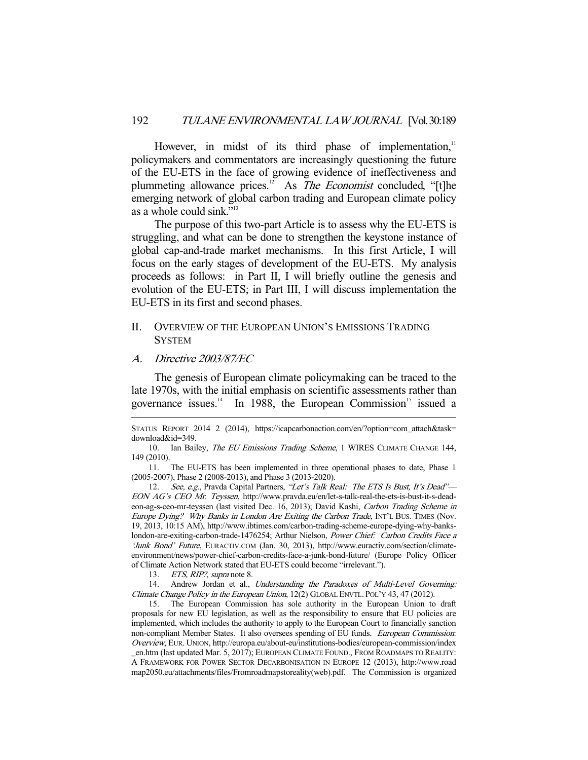However, in midst of its third phase of implementation, $11$ policymakers and commentators are increasingly questioning the future of the EU-ETS in the face of growing evidence of ineffectiveness and plummeting allowance prices.<sup>12</sup> As *The Economist* concluded, "[t]he emerging network of global carbon trading and European climate policy as a whole could sink."13

 The purpose of this two-part Article is to assess why the EU-ETS is struggling, and what can be done to strengthen the keystone instance of global cap-and-trade market mechanisms. In this first Article, I will focus on the early stages of development of the EU-ETS. My analysis proceeds as follows: in Part II, I will briefly outline the genesis and evolution of the EU-ETS; in Part III, I will discuss implementation the EU-ETS in its first and second phases.

# II. OVERVIEW OF THE EUROPEAN UNION'S EMISSIONS TRADING **SYSTEM**

#### A. Directive 2003/87/EC

-

 The genesis of European climate policymaking can be traced to the late 1970s, with the initial emphasis on scientific assessments rather than governance issues. $14$  In 1988, the European Commission<sup>15</sup> issued a

 11. The EU-ETS has been implemented in three operational phases to date, Phase 1 (2005-2007), Phase 2 (2008-2013), and Phase 3 (2013-2020).

12. See, e.g., Pravda Capital Partners, "Let's Talk Real: The ETS Is Bust, It's Dead"-EON AG's CEO Mr. Teyssen, http://www.pravda.eu/en/let-s-talk-real-the-ets-is-bust-it-s-deadeon-ag-s-ceo-mr-teyssen (last visited Dec. 16, 2013); David Kashi, Carbon Trading Scheme in Europe Dying? Why Banks in London Are Exiting the Carbon Trade, INT'L BUS. TIMES (Nov. 19, 2013, 10:15 AM), http://www.ibtimes.com/carbon-trading-scheme-europe-dying-why-bankslondon-are-exiting-carbon-trade-1476254; Arthur Nielson, Power Chief: Carbon Credits Face a 'Junk Bond' Future, EURACTIV.COM (Jan. 30, 2013), http://www.euractiv.com/section/climateenvironment/news/power-chief-carbon-credits-face-a-junk-bond-future/ (Europe Policy Officer of Climate Action Network stated that EU-ETS could become "irrelevant.").

13. ETS, RIP?, supra note 8.

14. Andrew Jordan et al., Understanding the Paradoxes of Multi-Level Governing: Climate Change Policy in the European Union, 12(2) GLOBAL ENVTL. POL'Y 43, 47 (2012).

 15. The European Commission has sole authority in the European Union to draft proposals for new EU legislation, as well as the responsibility to ensure that EU policies are implemented, which includes the authority to apply to the European Court to financially sanction non-compliant Member States. It also oversees spending of EU funds. European Commission: Overview, EUR. UNION, http://europa.eu/about-eu/institutions-bodies/european-commission/index \_en.htm (last updated Mar. 5, 2017); EUROPEAN CLIMATE FOUND., FROM ROADMAPS TO REALITY: A FRAMEWORK FOR POWER SECTOR DECARBONISATION IN EUROPE 12 (2013), http://www.road map2050.eu/attachments/files/Fromroadmapstoreality(web).pdf. The Commission is organized

STATUS REPORT 2014 2 (2014), https://icapcarbonaction.com/en/?option=com\_attach&task= download&id=349.

<sup>10.</sup> Ian Bailey, The EU Emissions Trading Scheme, 1 WIRES CLIMATE CHANGE 144, 149 (2010).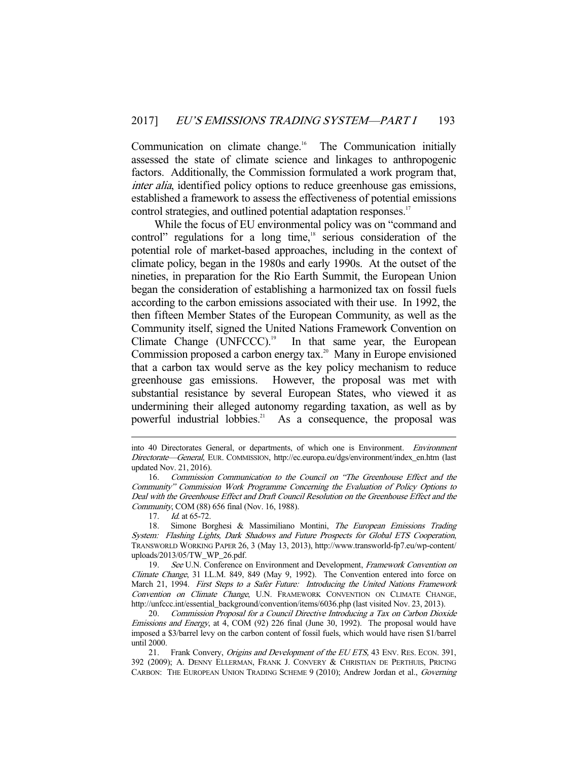Communication on climate change.<sup>16</sup> The Communication initially assessed the state of climate science and linkages to anthropogenic factors. Additionally, the Commission formulated a work program that, inter alia, identified policy options to reduce greenhouse gas emissions, established a framework to assess the effectiveness of potential emissions control strategies, and outlined potential adaptation responses.<sup>17</sup>

 While the focus of EU environmental policy was on "command and control" regulations for a long time, $18$  serious consideration of the potential role of market-based approaches, including in the context of climate policy, began in the 1980s and early 1990s. At the outset of the nineties, in preparation for the Rio Earth Summit, the European Union began the consideration of establishing a harmonized tax on fossil fuels according to the carbon emissions associated with their use. In 1992, the then fifteen Member States of the European Community, as well as the Community itself, signed the United Nations Framework Convention on Climate Change (UNFCCC).<sup>19</sup> In that same year, the European In that same year, the European Commission proposed a carbon energy  $tax.^{20}$  Many in Europe envisioned that a carbon tax would serve as the key policy mechanism to reduce greenhouse gas emissions. However, the proposal was met with substantial resistance by several European States, who viewed it as undermining their alleged autonomy regarding taxation, as well as by powerful industrial lobbies.<sup>21</sup> As a consequence, the proposal was

into 40 Directorates General, or departments, of which one is Environment. Environment Directorate—General, EUR. COMMISSION, http://ec.europa.eu/dgs/environment/index\_en.htm (last updated Nov. 21, 2016).

 <sup>16.</sup> Commission Communication to the Council on "The Greenhouse Effect and the Community" Commission Work Programme Concerning the Evaluation of Policy Options to Deal with the Greenhouse Effect and Draft Council Resolution on the Greenhouse Effect and the Community, COM (88) 656 final (Nov. 16, 1988).

<sup>17.</sup> *Id.* at 65-72.

 <sup>18.</sup> Simone Borghesi & Massimiliano Montini, The European Emissions Trading System: Flashing Lights, Dark Shadows and Future Prospects for Global ETS Cooperation, TRANSWORLD WORKING PAPER 26, 3 (May 13, 2013), http://www.transworld-fp7.eu/wp-content/ uploads/2013/05/TW\_WP\_26.pdf.

<sup>19.</sup> See U.N. Conference on Environment and Development, Framework Convention on Climate Change, 31 I.L.M. 849, 849 (May 9, 1992). The Convention entered into force on March 21, 1994. First Steps to a Safer Future: Introducing the United Nations Framework Convention on Climate Change, U.N. FRAMEWORK CONVENTION ON CLIMATE CHANGE, http://unfccc.int/essential\_background/convention/items/6036.php (last visited Nov. 23, 2013).

 <sup>20.</sup> Commission Proposal for a Council Directive Introducing a Tax on Carbon Dioxide Emissions and Energy, at 4, COM (92) 226 final (June 30, 1992). The proposal would have imposed a \$3/barrel levy on the carbon content of fossil fuels, which would have risen \$1/barrel until 2000.

<sup>21.</sup> Frank Convery, Origins and Development of the EU ETS, 43 ENV. RES. ECON. 391, 392 (2009); A. DENNY ELLERMAN, FRANK J. CONVERY & CHRISTIAN DE PERTHUIS, PRICING CARBON: THE EUROPEAN UNION TRADING SCHEME 9 (2010); Andrew Jordan et al., Governing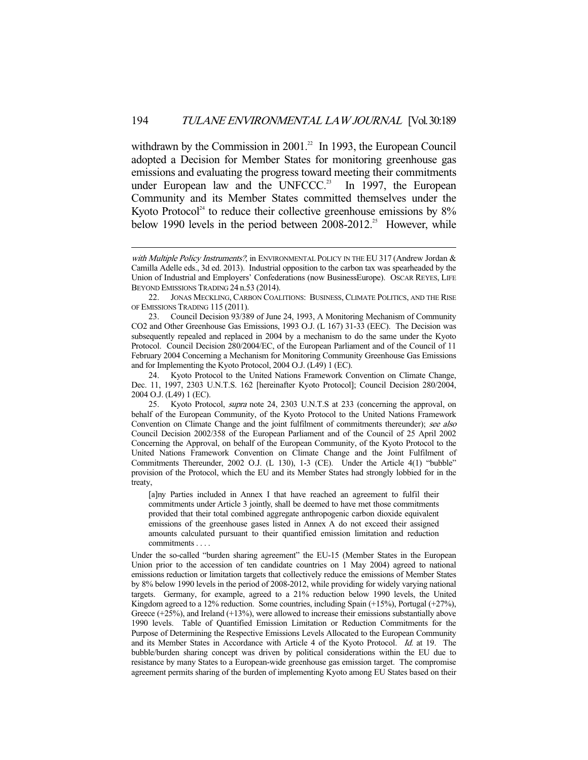withdrawn by the Commission in 2001.<sup>22</sup> In 1993, the European Council adopted a Decision for Member States for monitoring greenhouse gas emissions and evaluating the progress toward meeting their commitments under European law and the UNFCCC.<sup>23</sup> In 1997, the European Community and its Member States committed themselves under the Kyoto Protocol<sup>24</sup> to reduce their collective greenhouse emissions by  $8\%$ below 1990 levels in the period between  $2008-2012$ <sup>25</sup> However, while

-

[a]ny Parties included in Annex I that have reached an agreement to fulfil their commitments under Article 3 jointly, shall be deemed to have met those commitments provided that their total combined aggregate anthropogenic carbon dioxide equivalent emissions of the greenhouse gases listed in Annex A do not exceed their assigned amounts calculated pursuant to their quantified emission limitation and reduction commitments . . . .

Under the so-called "burden sharing agreement" the EU-15 (Member States in the European Union prior to the accession of ten candidate countries on 1 May 2004) agreed to national emissions reduction or limitation targets that collectively reduce the emissions of Member States by 8% below 1990 levels in the period of 2008-2012, while providing for widely varying national targets. Germany, for example, agreed to a 21% reduction below 1990 levels, the United Kingdom agreed to a 12% reduction. Some countries, including Spain (+15%), Portugal (+27%), Greece (+25%), and Ireland (+13%), were allowed to increase their emissions substantially above 1990 levels. Table of Quantified Emission Limitation or Reduction Commitments for the Purpose of Determining the Respective Emissions Levels Allocated to the European Community and its Member States in Accordance with Article 4 of the Kyoto Protocol. Id. at 19. The bubble/burden sharing concept was driven by political considerations within the EU due to resistance by many States to a European-wide greenhouse gas emission target. The compromise agreement permits sharing of the burden of implementing Kyoto among EU States based on their

with Multiple Policy Instruments?, in ENVIRONMENTAL POLICY IN THE EU 317 (Andrew Jordan & Camilla Adelle eds., 3d ed. 2013). Industrial opposition to the carbon tax was spearheaded by the Union of Industrial and Employers' Confederations (now BusinessEurope). OSCAR REYES, LIFE BEYOND EMISSIONS TRADING 24 n.53 (2014).

 <sup>22.</sup> JONAS MECKLING, CARBON COALITIONS: BUSINESS, CLIMATE POLITICS, AND THE RISE OF EMISSIONS TRADING 115 (2011).

 <sup>23.</sup> Council Decision 93/389 of June 24, 1993, A Monitoring Mechanism of Community CO2 and Other Greenhouse Gas Emissions, 1993 O.J. (L 167) 31-33 (EEC). The Decision was subsequently repealed and replaced in 2004 by a mechanism to do the same under the Kyoto Protocol. Council Decision 280/2004/EC, of the European Parliament and of the Council of 11 February 2004 Concerning a Mechanism for Monitoring Community Greenhouse Gas Emissions and for Implementing the Kyoto Protocol, 2004 O.J. (L49) 1 (EC).

 <sup>24.</sup> Kyoto Protocol to the United Nations Framework Convention on Climate Change, Dec. 11, 1997, 2303 U.N.T.S. 162 [hereinafter Kyoto Protocol]; Council Decision 280/2004, 2004 O.J. (L49) 1 (EC).

 <sup>25.</sup> Kyoto Protocol, supra note 24, 2303 U.N.T.S at 233 (concerning the approval, on behalf of the European Community, of the Kyoto Protocol to the United Nations Framework Convention on Climate Change and the joint fulfilment of commitments thereunder); see also Council Decision 2002/358 of the European Parliament and of the Council of 25 April 2002 Concerning the Approval, on behalf of the European Community, of the Kyoto Protocol to the United Nations Framework Convention on Climate Change and the Joint Fulfilment of Commitments Thereunder, 2002 O.J. (L 130), 1-3 (CE). Under the Article 4(1) "bubble" provision of the Protocol, which the EU and its Member States had strongly lobbied for in the treaty,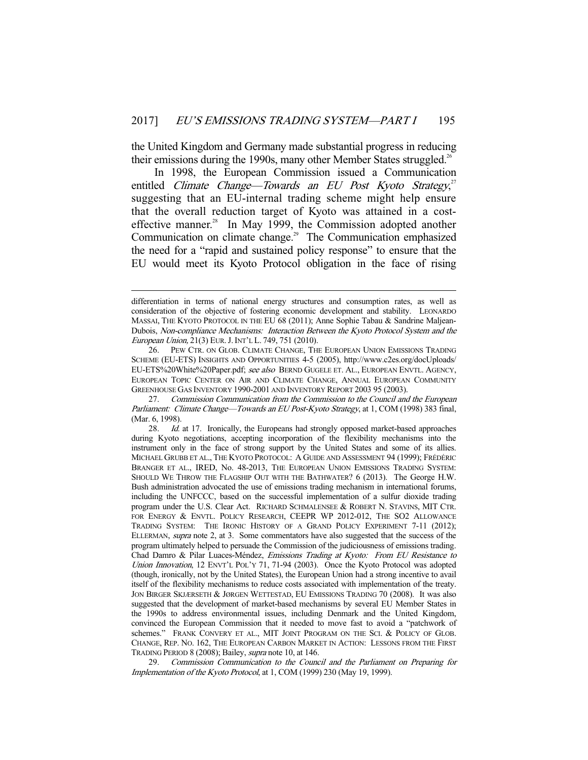the United Kingdom and Germany made substantial progress in reducing their emissions during the 1990s, many other Member States struggled.<sup>26</sup>

 In 1998, the European Commission issued a Communication entitled Climate Change—Towards an EU Post Kyoto Strategy,<sup>27</sup> suggesting that an EU-internal trading scheme might help ensure that the overall reduction target of Kyoto was attained in a costeffective manner.<sup>28</sup> In May 1999, the Commission adopted another Communication on climate change.<sup>29</sup> The Communication emphasized the need for a "rapid and sustained policy response" to ensure that the EU would meet its Kyoto Protocol obligation in the face of rising

-

 27. Commission Communication from the Commission to the Council and the European Parliament: Climate Change—Towards an EU Post-Kyoto Strategy, at 1, COM (1998) 383 final, (Mar. 6, 1998).

differentiation in terms of national energy structures and consumption rates, as well as consideration of the objective of fostering economic development and stability. LEONARDO MASSAI, THE KYOTO PROTOCOL IN THE EU 68 (2011); Anne Sophie Tabau & Sandrine Maljean-Dubois, Non-compliance Mechanisms: Interaction Between the Kyoto Protocol System and the European Union, 21(3) EUR.J.INT'L L. 749, 751 (2010).

 <sup>26.</sup> PEW CTR. ON GLOB. CLIMATE CHANGE, THE EUROPEAN UNION EMISSIONS TRADING SCHEME (EU-ETS) INSIGHTS AND OPPORTUNITIES 4-5 (2005), http://www.c2es.org/docUploads/ EU-ETS%20White%20Paper.pdf; see also BERND GUGELE ET. AL., EUROPEAN ENVTL. AGENCY, EUROPEAN TOPIC CENTER ON AIR AND CLIMATE CHANGE, ANNUAL EUROPEAN COMMUNITY GREENHOUSE GAS INVENTORY 1990-2001 AND INVENTORY REPORT 2003 95 (2003).

<sup>28.</sup> *Id.* at 17. Ironically, the Europeans had strongly opposed market-based approaches during Kyoto negotiations, accepting incorporation of the flexibility mechanisms into the instrument only in the face of strong support by the United States and some of its allies. MICHAEL GRUBB ET AL., THE KYOTO PROTOCOL: A GUIDE AND ASSESSMENT 94 (1999); FRÉDÉRIC BRANGER ET AL., IRED, No. 48-2013, THE EUROPEAN UNION EMISSIONS TRADING SYSTEM: SHOULD WE THROW THE FLAGSHIP OUT WITH THE BATHWATER? 6 (2013). The George H.W. Bush administration advocated the use of emissions trading mechanism in international forums, including the UNFCCC, based on the successful implementation of a sulfur dioxide trading program under the U.S. Clear Act. RICHARD SCHMALENSEE & ROBERT N. STAVINS, MIT CTR. FOR ENERGY & ENVTL. POLICY RESEARCH, CEEPR WP 2012-012, THE SO2 ALLOWANCE TRADING SYSTEM: THE IRONIC HISTORY OF A GRAND POLICY EXPERIMENT 7-11 (2012); ELLERMAN, supra note 2, at 3. Some commentators have also suggested that the success of the program ultimately helped to persuade the Commission of the judiciousness of emissions trading. Chad Damro & Pilar Luaces-Méndez, Emissions Trading at Kyoto: From EU Resistance to Union Innovation, 12 ENVT'L POL'Y 71, 71-94 (2003). Once the Kyoto Protocol was adopted (though, ironically, not by the United States), the European Union had a strong incentive to avail itself of the flexibility mechanisms to reduce costs associated with implementation of the treaty. JON BIRGER SKJÆRSETH & JØRGEN WETTESTAD, EU EMISSIONS TRADING 70 (2008). It was also suggested that the development of market-based mechanisms by several EU Member States in the 1990s to address environmental issues, including Denmark and the United Kingdom, convinced the European Commission that it needed to move fast to avoid a "patchwork of schemes." FRANK CONVERY ET AL., MIT JOINT PROGRAM ON THE SCI. & POLICY OF GLOB. CHANGE, REP. NO. 162, THE EUROPEAN CARBON MARKET IN ACTION: LESSONS FROM THE FIRST TRADING PERIOD 8 (2008); Bailey, supra note 10, at 146.

 <sup>29.</sup> Commission Communication to the Council and the Parliament on Preparing for Implementation of the Kyoto Protocol, at 1, COM (1999) 230 (May 19, 1999).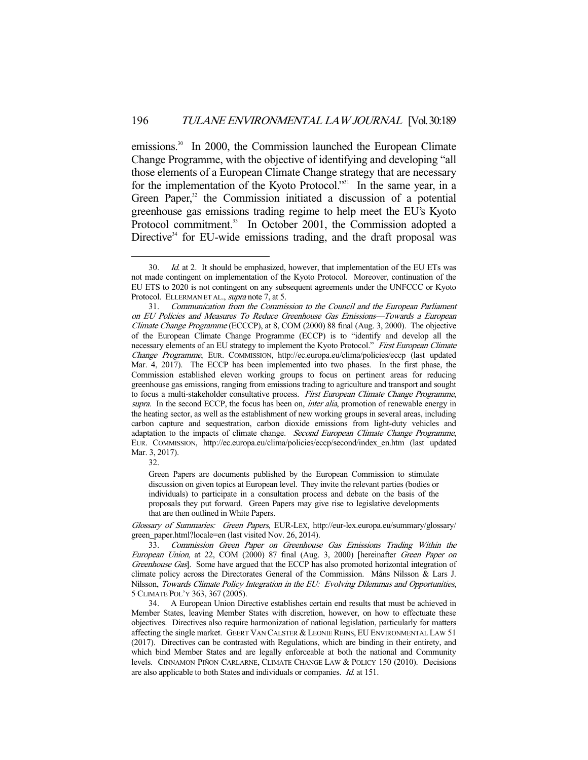emissions.<sup>30</sup> In 2000, the Commission launched the European Climate Change Programme, with the objective of identifying and developing "all those elements of a European Climate Change strategy that are necessary for the implementation of the Kyoto Protocol."<sup>31</sup> In the same year, in a Green Paper, $32$  the Commission initiated a discussion of a potential greenhouse gas emissions trading regime to help meet the EU's Kyoto Protocol commitment.<sup>33</sup> In October 2001, the Commission adopted a Directive<sup>34</sup> for EU-wide emissions trading, and the draft proposal was

32.

-

Green Papers are documents published by the European Commission to stimulate discussion on given topics at European level. They invite the relevant parties (bodies or individuals) to participate in a consultation process and debate on the basis of the proposals they put forward. Green Papers may give rise to legislative developments that are then outlined in White Papers.

Glossary of Summaries: Green Papers, EUR-LEX, http://eur-lex.europa.eu/summary/glossary/ green\_paper.html?locale=en (last visited Nov. 26, 2014).

 33. Commission Green Paper on Greenhouse Gas Emissions Trading Within the European Union, at 22, COM (2000) 87 final (Aug. 3, 2000) [hereinafter Green Paper on Greenhouse Gas]. Some have argued that the ECCP has also promoted horizontal integration of climate policy across the Directorates General of the Commission. Måns Nilsson & Lars J. Nilsson, Towards Climate Policy Integration in the EU: Evolving Dilemmas and Opportunities, 5 CLIMATE POL'Y 363, 367 (2005).

 34. A European Union Directive establishes certain end results that must be achieved in Member States, leaving Member States with discretion, however, on how to effectuate these objectives. Directives also require harmonization of national legislation, particularly for matters affecting the single market. GEERT VAN CALSTER & LEONIE REINS, EU ENVIRONMENTAL LAW 51 (2017). Directives can be contrasted with Regulations, which are binding in their entirety, and which bind Member States and are legally enforceable at both the national and Community levels. CINNAMON PIŇON CARLARNE, CLIMATE CHANGE LAW & POLICY 150 (2010). Decisions are also applicable to both States and individuals or companies. Id. at 151.

<sup>30.</sup> Id. at 2. It should be emphasized, however, that implementation of the EU ETs was not made contingent on implementation of the Kyoto Protocol. Moreover, continuation of the EU ETS to 2020 is not contingent on any subsequent agreements under the UNFCCC or Kyoto Protocol. ELLERMAN ET AL., supra note 7, at 5.

 <sup>31.</sup> Communication from the Commission to the Council and the European Parliament on EU Policies and Measures To Reduce Greenhouse Gas Emissions—Towards a European Climate Change Programme (ECCCP), at 8, COM (2000) 88 final (Aug. 3, 2000). The objective of the European Climate Change Programme (ECCP) is to "identify and develop all the necessary elements of an EU strategy to implement the Kyoto Protocol." First European Climate Change Programme, EUR. COMMISSION, http://ec.europa.eu/clima/policies/eccp (last updated Mar. 4, 2017). The ECCP has been implemented into two phases. In the first phase, the Commission established eleven working groups to focus on pertinent areas for reducing greenhouse gas emissions, ranging from emissions trading to agriculture and transport and sought to focus a multi-stakeholder consultative process. First European Climate Change Programme, supra. In the second ECCP, the focus has been on, *inter alia*, promotion of renewable energy in the heating sector, as well as the establishment of new working groups in several areas, including carbon capture and sequestration, carbon dioxide emissions from light-duty vehicles and adaptation to the impacts of climate change. Second European Climate Change Programme, EUR. COMMISSION, http://ec.europa.eu/clima/policies/eccp/second/index\_en.htm (last updated Mar. 3, 2017).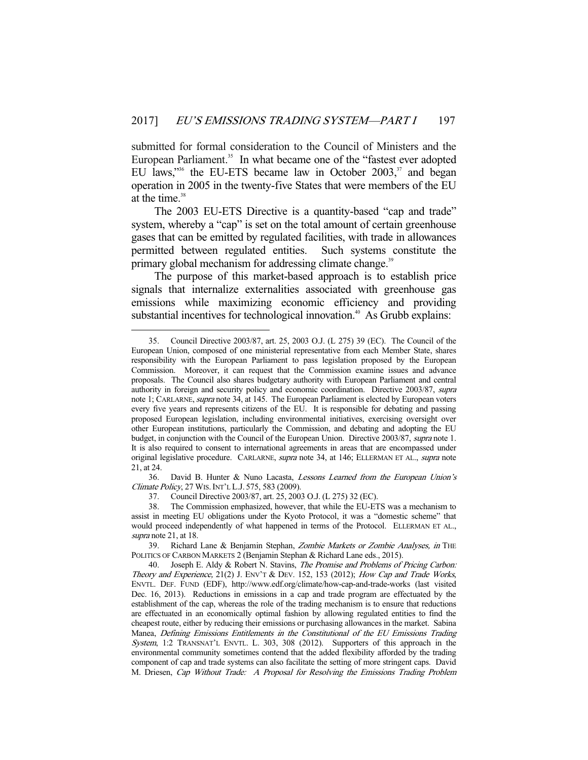submitted for formal consideration to the Council of Ministers and the European Parliament. 35 In what became one of the "fastest ever adopted EU laws,"<sup>36</sup> the EU-ETS became law in October 2003, $37$  and began operation in 2005 in the twenty-five States that were members of the EU at the time. $38$ 

 The 2003 EU-ETS Directive is a quantity-based "cap and trade" system, whereby a "cap" is set on the total amount of certain greenhouse gases that can be emitted by regulated facilities, with trade in allowances permitted between regulated entities. Such systems constitute the primary global mechanism for addressing climate change.<sup>39</sup>

 The purpose of this market-based approach is to establish price signals that internalize externalities associated with greenhouse gas emissions while maximizing economic efficiency and providing substantial incentives for technological innovation.<sup>40</sup> As Grubb explains:

 36. David B. Hunter & Nuno Lacasta, Lessons Learned from the European Union's Climate Policy, 27 WIS.INT'L L.J. 575, 583 (2009).

37. Council Directive 2003/87, art. 25, 2003 O.J. (L 275) 32 (EC).

 <sup>35.</sup> Council Directive 2003/87, art. 25, 2003 O.J. (L 275) 39 (EC). The Council of the European Union, composed of one ministerial representative from each Member State, shares responsibility with the European Parliament to pass legislation proposed by the European Commission. Moreover, it can request that the Commission examine issues and advance proposals. The Council also shares budgetary authority with European Parliament and central authority in foreign and security policy and economic coordination. Directive 2003/87, supra note 1; CARLARNE, supra note 34, at 145. The European Parliament is elected by European voters every five years and represents citizens of the EU. It is responsible for debating and passing proposed European legislation, including environmental initiatives, exercising oversight over other European institutions, particularly the Commission, and debating and adopting the EU budget, in conjunction with the Council of the European Union. Directive 2003/87, *supra* note 1. It is also required to consent to international agreements in areas that are encompassed under original legislative procedure. CARLARNE, supra note 34, at 146; ELLERMAN ET AL., supra note 21, at 24.

 <sup>38.</sup> The Commission emphasized, however, that while the EU-ETS was a mechanism to assist in meeting EU obligations under the Kyoto Protocol, it was a "domestic scheme" that would proceed independently of what happened in terms of the Protocol. ELLERMAN ET AL., supra note 21, at 18.

<sup>39.</sup> Richard Lane & Benjamin Stephan, Zombie Markets or Zombie Analyses, in THE POLITICS OF CARBON MARKETS 2 (Benjamin Stephan & Richard Lane eds., 2015).

<sup>40.</sup> Joseph E. Aldy & Robert N. Stavins, The Promise and Problems of Pricing Carbon: Theory and Experience, 21(2) J. ENV'T & DEV. 152, 153 (2012); How Cap and Trade Works, ENVTL. DEF. FUND (EDF), http://www.edf.org/climate/how-cap-and-trade-works (last visited Dec. 16, 2013). Reductions in emissions in a cap and trade program are effectuated by the establishment of the cap, whereas the role of the trading mechanism is to ensure that reductions are effectuated in an economically optimal fashion by allowing regulated entities to find the cheapest route, either by reducing their emissions or purchasing allowances in the market. Sabina Manea, Defining Emissions Entitlements in the Constitutional of the EU Emissions Trading System, 1:2 TRANSNAT'L ENVTL. L. 303, 308 (2012). Supporters of this approach in the environmental community sometimes contend that the added flexibility afforded by the trading component of cap and trade systems can also facilitate the setting of more stringent caps. David M. Driesen, Cap Without Trade: A Proposal for Resolving the Emissions Trading Problem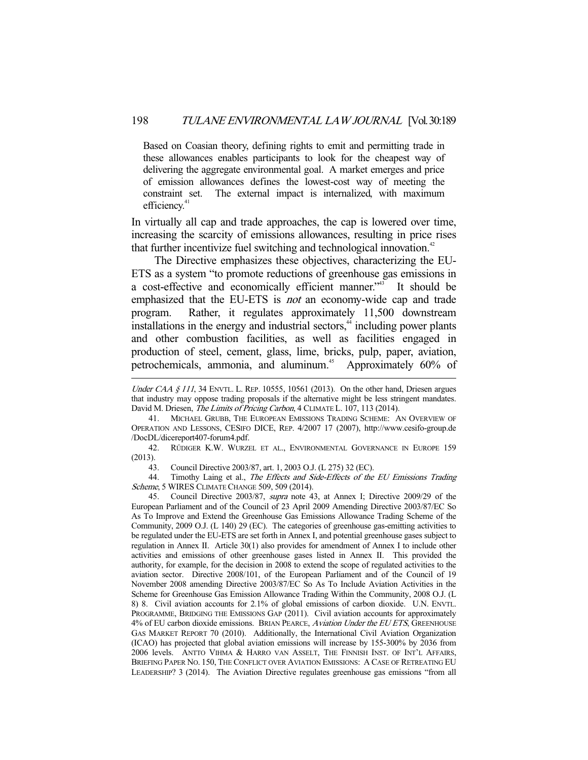Based on Coasian theory, defining rights to emit and permitting trade in these allowances enables participants to look for the cheapest way of delivering the aggregate environmental goal. A market emerges and price of emission allowances defines the lowest-cost way of meeting the constraint set. The external impact is internalized, with maximum efficiency.<sup>41</sup>

In virtually all cap and trade approaches, the cap is lowered over time, increasing the scarcity of emissions allowances, resulting in price rises that further incentivize fuel switching and technological innovation.<sup>42</sup>

 The Directive emphasizes these objectives, characterizing the EU-ETS as a system "to promote reductions of greenhouse gas emissions in a cost-effective and economically efficient manner."<sup>43</sup> It should be emphasized that the EU-ETS is *not* an economy-wide cap and trade program. Rather, it regulates approximately 11,500 downstream installations in the energy and industrial sectors,<sup>44</sup> including power plants and other combustion facilities, as well as facilities engaged in production of steel, cement, glass, lime, bricks, pulp, paper, aviation, petrochemicals, ammonia, and aluminum.<sup>45</sup> Approximately 60% of

Under CAA  $\S$  111, 34 ENVTL. L. REP. 10555, 10561 (2013). On the other hand, Driesen argues that industry may oppose trading proposals if the alternative might be less stringent mandates. David M. Driesen, The Limits of Pricing Carbon, 4 CLIMATE L. 107, 113 (2014).

 <sup>41.</sup> MICHAEL GRUBB, THE EUROPEAN EMISSIONS TRADING SCHEME: AN OVERVIEW OF OPERATION AND LESSONS, CESIFO DICE, REP. 4/2007 17 (2007), http://www.cesifo-group.de /DocDL/dicereport407-forum4.pdf.

 <sup>42.</sup> RŰDIGER K.W. WURZEL ET AL., ENVIRONMENTAL GOVERNANCE IN EUROPE 159 (2013).

 <sup>43.</sup> Council Directive 2003/87, art. 1, 2003 O.J. (L 275) 32 (EC).

<sup>44.</sup> Timothy Laing et al., The Effects and Side-Effects of the EU Emissions Trading Scheme, 5 WIRES CLIMATE CHANGE 509, 509 (2014).

 <sup>45.</sup> Council Directive 2003/87, supra note 43, at Annex I; Directive 2009/29 of the European Parliament and of the Council of 23 April 2009 Amending Directive 2003/87/EC So As To Improve and Extend the Greenhouse Gas Emissions Allowance Trading Scheme of the Community, 2009 O.J. (L 140) 29 (EC). The categories of greenhouse gas-emitting activities to be regulated under the EU-ETS are set forth in Annex I, and potential greenhouse gases subject to regulation in Annex II. Article 30(1) also provides for amendment of Annex I to include other activities and emissions of other greenhouse gases listed in Annex II. This provided the authority, for example, for the decision in 2008 to extend the scope of regulated activities to the aviation sector. Directive 2008/101, of the European Parliament and of the Council of 19 November 2008 amending Directive 2003/87/EC So As To Include Aviation Activities in the Scheme for Greenhouse Gas Emission Allowance Trading Within the Community, 2008 O.J. (L 8) 8. Civil aviation accounts for 2.1% of global emissions of carbon dioxide. U.N. ENVTL. PROGRAMME, BRIDGING THE EMISSIONS GAP (2011). Civil aviation accounts for approximately 4% of EU carbon dioxide emissions. BRIAN PEARCE, Aviation Under the EU ETS, GREENHOUSE GAS MARKET REPORT 70 (2010). Additionally, the International Civil Aviation Organization (ICAO) has projected that global aviation emissions will increase by 155-300% by 2036 from 2006 levels. ANTTO VIHMA & HARRO VAN ASSELT, THE FINNISH INST. OF INT'L AFFAIRS, BRIEFING PAPER NO. 150, THE CONFLICT OVER AVIATION EMISSIONS: A CASE OF RETREATING EU LEADERSHIP? 3 (2014). The Aviation Directive regulates greenhouse gas emissions "from all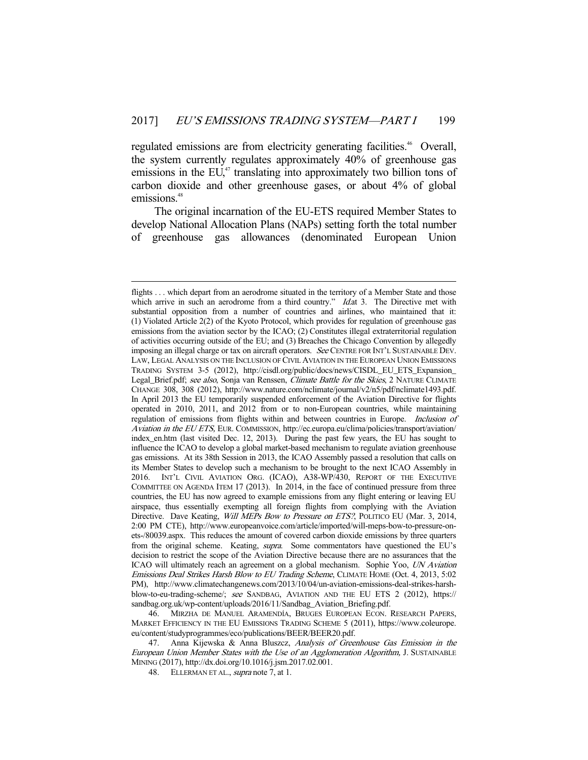regulated emissions are from electricity generating facilities.<sup>46</sup> Overall, the system currently regulates approximately 40% of greenhouse gas emissions in the  $EU^{47}$  translating into approximately two billion tons of carbon dioxide and other greenhouse gases, or about 4% of global emissions.<sup>48</sup>

 The original incarnation of the EU-ETS required Member States to develop National Allocation Plans (NAPs) setting forth the total number of greenhouse gas allowances (denominated European Union

 46. MIRZHA DE MANUEL ARAMENDÍA, BRUGES EUROPEAN ECON. RESEARCH PAPERS, MARKET EFFICIENCY IN THE EU EMISSIONS TRADING SCHEME 5 (2011), https://www.coleurope. eu/content/studyprogrammes/eco/publications/BEER/BEER20.pdf.

47. Anna Kijewska & Anna Bluszcz, Analysis of Greenhouse Gas Emission in the European Union Member States with the Use of an Agglomeration Algorithm, J. SUSTAINABLE MINING (2017), http://dx.doi.org/10.1016/j.jsm.2017.02.001.

48. ELLERMAN ET AL., *supra* note 7, at 1.

flights . . . which depart from an aerodrome situated in the territory of a Member State and those which arrive in such an aerodrome from a third country."  $Id$  at 3. The Directive met with substantial opposition from a number of countries and airlines, who maintained that it: (1) Violated Article 2(2) of the Kyoto Protocol, which provides for regulation of greenhouse gas emissions from the aviation sector by the ICAO; (2) Constitutes illegal extraterritorial regulation of activities occurring outside of the EU; and (3) Breaches the Chicago Convention by allegedly imposing an illegal charge or tax on aircraft operators. See CENTRE FOR INT'L SUSTAINABLE DEV. LAW, LEGAL ANALYSIS ON THE INCLUSION OF CIVIL AVIATION IN THE EUROPEAN UNION EMISSIONS TRADING SYSTEM 3-5 (2012), http://cisdl.org/public/docs/news/CISDL\_EU\_ETS\_Expansion\_ Legal\_Brief.pdf; see also, Sonja van Renssen, Climate Battle for the Skies, 2 NATURE CLIMATE CHANGE 308, 308 (2012), http://www.nature.com/nclimate/journal/v2/n5/pdf/nclimate1493.pdf. In April 2013 the EU temporarily suspended enforcement of the Aviation Directive for flights operated in 2010, 2011, and 2012 from or to non-European countries, while maintaining regulation of emissions from flights within and between countries in Europe. Inclusion of Aviation in the EU ETS, EUR. COMMISSION, http://ec.europa.eu/clima/policies/transport/aviation/ index\_en.htm (last visited Dec. 12, 2013). During the past few years, the EU has sought to influence the ICAO to develop a global market-based mechanism to regulate aviation greenhouse gas emissions. At its 38th Session in 2013, the ICAO Assembly passed a resolution that calls on its Member States to develop such a mechanism to be brought to the next ICAO Assembly in 2016. INT'L CIVIL AVIATION ORG. (ICAO), A38-WP/430, REPORT OF THE EXECUTIVE COMMITTEE ON AGENDA ITEM 17 (2013). In 2014, in the face of continued pressure from three countries, the EU has now agreed to example emissions from any flight entering or leaving EU airspace, thus essentially exempting all foreign flights from complying with the Aviation Directive. Dave Keating, Will MEPs Bow to Pressure on ETS?, POLITICO EU (Mar. 3, 2014, 2:00 PM CTE), http://www.europeanvoice.com/article/imported/will-meps-bow-to-pressure-onets-/80039.aspx. This reduces the amount of covered carbon dioxide emissions by three quarters from the original scheme. Keating, supra. Some commentators have questioned the EU's decision to restrict the scope of the Aviation Directive because there are no assurances that the ICAO will ultimately reach an agreement on a global mechanism. Sophie Yoo, UN Aviation Emissions Deal Strikes Harsh Blow to EU Trading Scheme, CLIMATE HOME (Oct. 4, 2013, 5:02 PM), http://www.climatechangenews.com/2013/10/04/un-aviation-emissions-deal-strikes-harshblow-to-eu-trading-scheme/; see SANDBAG, AVIATION AND THE EU ETS 2 (2012), https:// sandbag.org.uk/wp-content/uploads/2016/11/Sandbag\_Aviation\_Briefing.pdf.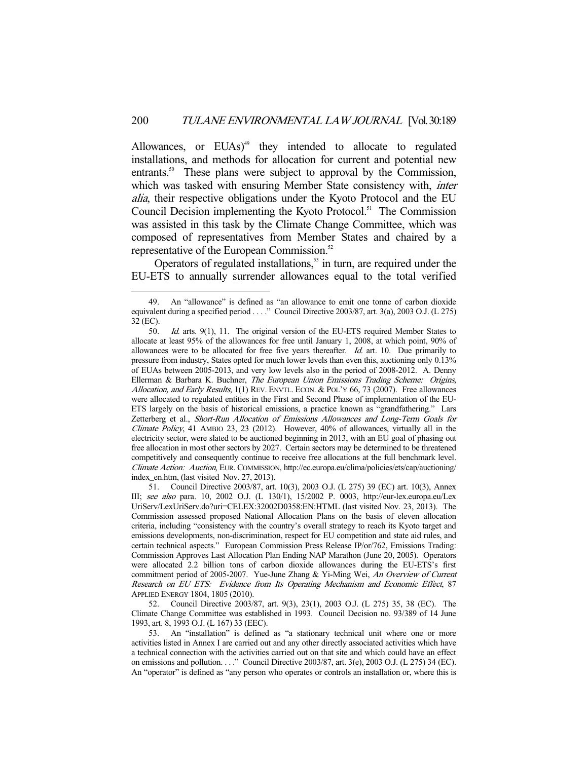Allowances, or EUAs)<sup>49</sup> they intended to allocate to regulated installations, and methods for allocation for current and potential new entrants.<sup>50</sup> These plans were subject to approval by the Commission, which was tasked with ensuring Member State consistency with, *inter* alia, their respective obligations under the Kyoto Protocol and the EU Council Decision implementing the Kyoto Protocol.<sup>51</sup> The Commission was assisted in this task by the Climate Change Committee, which was composed of representatives from Member States and chaired by a representative of the European Commission.<sup>52</sup>

Operators of regulated installations,<sup>53</sup> in turn, are required under the EU-ETS to annually surrender allowances equal to the total verified

-

 51. Council Directive 2003/87, art. 10(3), 2003 O.J. (L 275) 39 (EC) art. 10(3), Annex III; see also para. 10, 2002 O.J. (L 130/1), 15/2002 P. 0003, http://eur-lex.europa.eu/Lex UriServ/LexUriServ.do?uri=CELEX:32002D0358:EN:HTML (last visited Nov. 23, 2013). The Commission assessed proposed National Allocation Plans on the basis of eleven allocation criteria, including "consistency with the country's overall strategy to reach its Kyoto target and emissions developments, non-discrimination, respect for EU competition and state aid rules, and certain technical aspects." European Commission Press Release IP/or/762, Emissions Trading: Commission Approves Last Allocation Plan Ending NAP Marathon (June 20, 2005). Operators were allocated 2.2 billion tons of carbon dioxide allowances during the EU-ETS's first commitment period of 2005-2007. Yue-June Zhang & Yi-Ming Wei, An Overview of Current Research on EU ETS: Evidence from Its Operating Mechanism and Economic Effect, 87 APPLIED ENERGY 1804, 1805 (2010).

 52. Council Directive 2003/87, art. 9(3), 23(1), 2003 O.J. (L 275) 35, 38 (EC). The Climate Change Committee was established in 1993. Council Decision no. 93/389 of 14 June 1993, art. 8, 1993 O.J. (L 167) 33 (EEC).

 53. An "installation" is defined as "a stationary technical unit where one or more activities listed in Annex I are carried out and any other directly associated activities which have a technical connection with the activities carried out on that site and which could have an effect on emissions and pollution. . . ." Council Directive 2003/87, art. 3(e), 2003 O.J. (L 275) 34 (EC). An "operator" is defined as "any person who operates or controls an installation or, where this is

 <sup>49.</sup> An "allowance" is defined as "an allowance to emit one tonne of carbon dioxide equivalent during a specified period . . . ." Council Directive 2003/87, art. 3(a), 2003 O.J. (L 275) 32 (EC).

 <sup>50.</sup> Id. arts. 9(1), 11. The original version of the EU-ETS required Member States to allocate at least 95% of the allowances for free until January 1, 2008, at which point, 90% of allowances were to be allocated for free five years thereafter.  $Id$  art. 10. Due primarily to pressure from industry, States opted for much lower levels than even this, auctioning only 0.13% of EUAs between 2005-2013, and very low levels also in the period of 2008-2012. A. Denny Ellerman & Barbara K. Buchner, The European Union Emissions Trading Scheme: Origins, Allocation, and Early Results, 1(1) REV. ENVTL. ECON. & POL'Y 66, 73 (2007). Free allowances were allocated to regulated entities in the First and Second Phase of implementation of the EU-ETS largely on the basis of historical emissions, a practice known as "grandfathering." Lars Zetterberg et al., Short-Run Allocation of Emissions Allowances and Long-Term Goals for Climate Policy, 41 AMBIO 23, 23 (2012). However, 40% of allowances, virtually all in the electricity sector, were slated to be auctioned beginning in 2013, with an EU goal of phasing out free allocation in most other sectors by 2027. Certain sectors may be determined to be threatened competitively and consequently continue to receive free allocations at the full benchmark level. Climate Action: Auction, EUR. COMMISSION, http://ec.europa.eu/clima/policies/ets/cap/auctioning/ index\_en.htm, (last visited Nov. 27, 2013).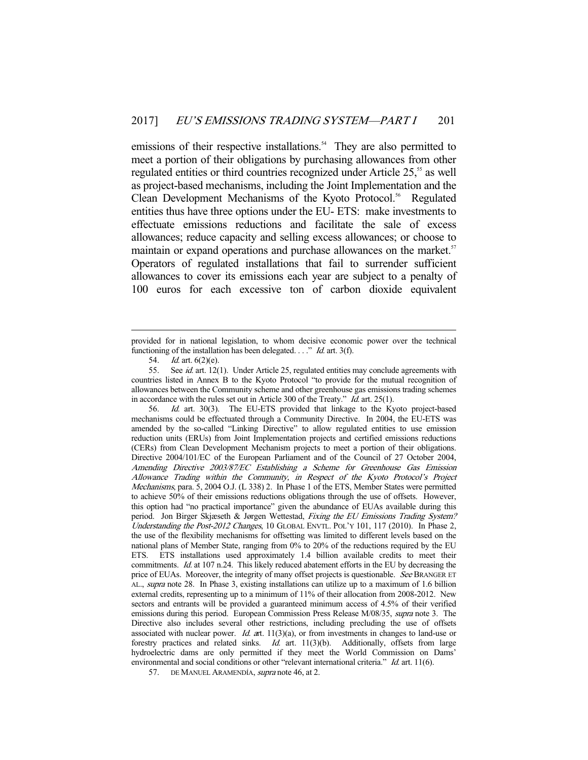emissions of their respective installations.<sup>54</sup> They are also permitted to meet a portion of their obligations by purchasing allowances from other regulated entities or third countries recognized under Article 25,<sup>55</sup> as well as project-based mechanisms, including the Joint Implementation and the Clean Development Mechanisms of the Kyoto Protocol.<sup>56</sup> Regulated entities thus have three options under the EU- ETS: make investments to effectuate emissions reductions and facilitate the sale of excess allowances; reduce capacity and selling excess allowances; or choose to maintain or expand operations and purchase allowances on the market.<sup>57</sup> Operators of regulated installations that fail to surrender sufficient allowances to cover its emissions each year are subject to a penalty of 100 euros for each excessive ton of carbon dioxide equivalent

-

 56. Id. art. 30(3). The EU-ETS provided that linkage to the Kyoto project-based mechanisms could be effectuated through a Community Directive. In 2004, the EU-ETS was amended by the so-called "Linking Directive" to allow regulated entities to use emission reduction units (ERUs) from Joint Implementation projects and certified emissions reductions (CERs) from Clean Development Mechanism projects to meet a portion of their obligations. Directive 2004/101/EC of the European Parliament and of the Council of 27 October 2004, Amending Directive 2003/87/EC Establishing a Scheme for Greenhouse Gas Emission Allowance Trading within the Community, in Respect of the Kyoto Protocol's Project Mechanisms, para. 5, 2004 O.J. (L 338) 2. In Phase 1 of the ETS, Member States were permitted to achieve 50% of their emissions reductions obligations through the use of offsets. However, this option had "no practical importance" given the abundance of EUAs available during this period. Jon Birger Skjæseth & Jørgen Wettestad, Fixing the EU Emissions Trading System? Understanding the Post-2012 Changes, 10 GLOBAL ENVTL. POL'Y 101, 117 (2010). In Phase 2, the use of the flexibility mechanisms for offsetting was limited to different levels based on the national plans of Member State, ranging from 0% to 20% of the reductions required by the EU ETS. ETS installations used approximately 1.4 billion available credits to meet their commitments. Id. at 107 n.24. This likely reduced abatement efforts in the EU by decreasing the price of EUAs. Moreover, the integrity of many offset projects is questionable. See BRANGER ET AL., supra note 28. In Phase 3, existing installations can utilize up to a maximum of 1.6 billion external credits, representing up to a minimum of 11% of their allocation from 2008-2012. New sectors and entrants will be provided a guaranteed minimum access of 4.5% of their verified emissions during this period. European Commission Press Release M/08/35, *supra* note 3. The Directive also includes several other restrictions, including precluding the use of offsets associated with nuclear power. Id. art.  $11(3)(a)$ , or from investments in changes to land-use or forestry practices and related sinks. Id. art. 11(3)(b). Additionally, offsets from large hydroelectric dams are only permitted if they meet the World Commission on Dams' environmental and social conditions or other "relevant international criteria." Id. art. 11(6).

provided for in national legislation, to whom decisive economic power over the technical functioning of the installation has been delegated.  $\ldots$ " *Id.* art. 3(f).

 <sup>54.</sup> Id. art. 6(2)(e).

<sup>55.</sup> See *id.* art. 12(1). Under Article 25, regulated entities may conclude agreements with countries listed in Annex B to the Kyoto Protocol "to provide for the mutual recognition of allowances between the Community scheme and other greenhouse gas emissions trading schemes in accordance with the rules set out in Article 300 of the Treaty." Id. art. 25(1).

<sup>57.</sup> DE MANUEL ARAMENDÍA, *supra* note 46, at 2.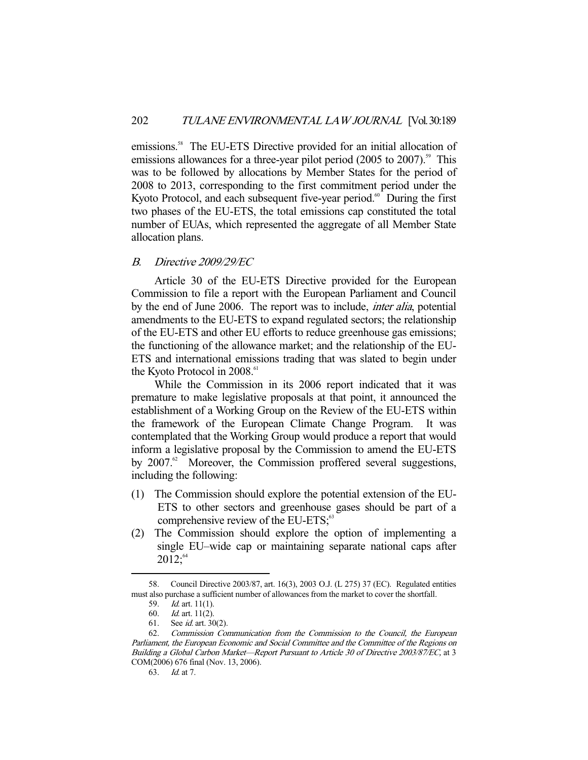emissions.<sup>58</sup> The EU-ETS Directive provided for an initial allocation of emissions allowances for a three-year pilot period  $(2005$  to  $2007)$ .<sup>59</sup> This was to be followed by allocations by Member States for the period of 2008 to 2013, corresponding to the first commitment period under the Kyoto Protocol, and each subsequent five-year period.<sup>60</sup> During the first two phases of the EU-ETS, the total emissions cap constituted the total number of EUAs, which represented the aggregate of all Member State allocation plans.

# B. Directive 2009/29/EC

 Article 30 of the EU-ETS Directive provided for the European Commission to file a report with the European Parliament and Council by the end of June 2006. The report was to include, inter alia, potential amendments to the EU-ETS to expand regulated sectors; the relationship of the EU-ETS and other EU efforts to reduce greenhouse gas emissions; the functioning of the allowance market; and the relationship of the EU-ETS and international emissions trading that was slated to begin under the Kyoto Protocol in 2008.<sup>61</sup>

 While the Commission in its 2006 report indicated that it was premature to make legislative proposals at that point, it announced the establishment of a Working Group on the Review of the EU-ETS within the framework of the European Climate Change Program. It was contemplated that the Working Group would produce a report that would inform a legislative proposal by the Commission to amend the EU-ETS by  $2007<sup>62</sup>$  Moreover, the Commission proffered several suggestions, including the following:

- (1) The Commission should explore the potential extension of the EU-ETS to other sectors and greenhouse gases should be part of a comprehensive review of the EU-ETS; $<sup>63</sup>$ </sup>
- (2) The Commission should explore the option of implementing a single EU–wide cap or maintaining separate national caps after  $2012$ ;  $64$

 <sup>58.</sup> Council Directive 2003/87, art. 16(3), 2003 O.J. (L 275) 37 (EC). Regulated entities must also purchase a sufficient number of allowances from the market to cover the shortfall.

<sup>59.</sup> *Id.* art. 11(1).<br>60. *Id.* art. 11(2).

*Id.* art.  $11(2)$ .

 <sup>61.</sup> See id. art. 30(2).

 <sup>62.</sup> Commission Communication from the Commission to the Council, the European Parliament, the European Economic and Social Committee and the Committee of the Regions on Building a Global Carbon Market—Report Pursuant to Article 30 of Directive 2003/87/EC, at 3 COM(2006) 676 final (Nov. 13, 2006).

 <sup>63.</sup> Id. at 7.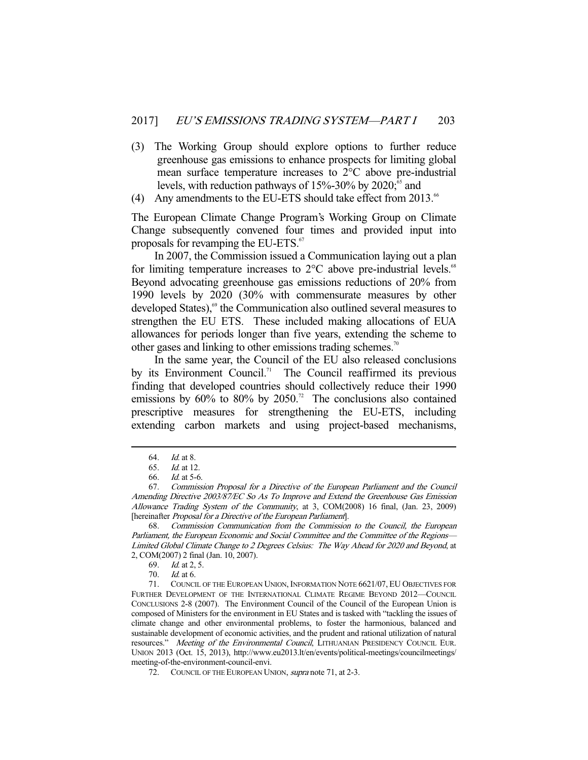- (3) The Working Group should explore options to further reduce greenhouse gas emissions to enhance prospects for limiting global mean surface temperature increases to 2°C above pre-industrial levels, with reduction pathways of  $15\% - 30\%$  by  $2020$ ;<sup>65</sup> and
- (4) Any amendments to the EU-ETS should take effect from  $2013.^{66}$

The European Climate Change Program's Working Group on Climate Change subsequently convened four times and provided input into proposals for revamping the EU-ETS.<sup>67</sup>

 In 2007, the Commission issued a Communication laying out a plan for limiting temperature increases to  $2^{\circ}$ C above pre-industrial levels.<sup>68</sup> Beyond advocating greenhouse gas emissions reductions of 20% from 1990 levels by 2020 (30% with commensurate measures by other developed States),<sup>69</sup> the Communication also outlined several measures to strengthen the EU ETS. These included making allocations of EUA allowances for periods longer than five years, extending the scheme to other gases and linking to other emissions trading schemes.<sup>70</sup>

 In the same year, the Council of the EU also released conclusions by its Environment Council.<sup>71</sup> The Council reaffirmed its previous finding that developed countries should collectively reduce their 1990 emissions by  $60\%$  to  $80\%$  by  $2050$ .<sup>72</sup> The conclusions also contained prescriptive measures for strengthening the EU-ETS, including extending carbon markets and using project-based mechanisms,

<sup>64.</sup> *Id.* at 8.

 <sup>65.</sup> Id. at 12.

 <sup>66.</sup> Id. at 5-6.

 <sup>67.</sup> Commission Proposal for a Directive of the European Parliament and the Council Amending Directive 2003/87/EC So As To Improve and Extend the Greenhouse Gas Emission Allowance Trading System of the Community, at 3, COM(2008) 16 final, (Jan. 23, 2009) [hereinafter Proposal for a Directive of the European Parliament].

 <sup>68.</sup> Commission Communication from the Commission to the Council, the European Parliament, the European Economic and Social Committee and the Committee of the Regions— Limited Global Climate Change to 2 Degrees Celsius: The Way Ahead for 2020 and Beyond, at 2, COM(2007) 2 final (Jan. 10, 2007).

 <sup>69.</sup> Id. at 2, 5.

 <sup>70.</sup> Id. at 6.

 <sup>71.</sup> COUNCIL OF THE EUROPEAN UNION, INFORMATION NOTE 6621/07, EU OBJECTIVES FOR FURTHER DEVELOPMENT OF THE INTERNATIONAL CLIMATE REGIME BEYOND 2012—COUNCIL CONCLUSIONS 2-8 (2007). The Environment Council of the Council of the European Union is composed of Ministers for the environment in EU States and is tasked with "tackling the issues of climate change and other environmental problems, to foster the harmonious, balanced and sustainable development of economic activities, and the prudent and rational utilization of natural resources." Meeting of the Environmental Council, LITHUANIAN PRESIDENCY COUNCIL EUR. UNION 2013 (Oct. 15, 2013), http://www.eu2013.lt/en/events/political-meetings/councilmeetings/ meeting-of-the-environment-council-envi.

<sup>72.</sup> COUNCIL OF THE EUROPEAN UNION, supra note 71, at 2-3.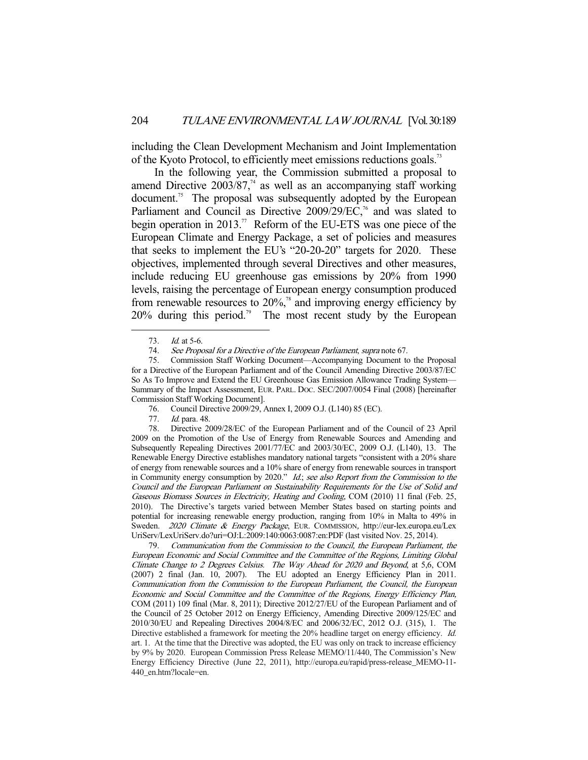including the Clean Development Mechanism and Joint Implementation of the Kyoto Protocol, to efficiently meet emissions reductions goals.73

 In the following year, the Commission submitted a proposal to amend Directive  $2003/87<sup>74</sup>$  as well as an accompanying staff working document.<sup>75</sup> The proposal was subsequently adopted by the European Parliament and Council as Directive  $2009/29/EC$ ,<sup>76</sup> and was slated to begin operation in 2013.<sup>77</sup> Reform of the EU-ETS was one piece of the European Climate and Energy Package, a set of policies and measures that seeks to implement the EU's "20-20-20" targets for 2020. These objectives, implemented through several Directives and other measures, include reducing EU greenhouse gas emissions by 20% from 1990 levels, raising the percentage of European energy consumption produced from renewable resources to  $20\%$ <sup>38</sup> and improving energy efficiency by  $20\%$  during this period.<sup>79</sup> The most recent study by the European

 <sup>73.</sup> Id. at 5-6.

 <sup>74.</sup> See Proposal for a Directive of the European Parliament, supra note 67.

 <sup>75.</sup> Commission Staff Working Document—Accompanying Document to the Proposal for a Directive of the European Parliament and of the Council Amending Directive 2003/87/EC So As To Improve and Extend the EU Greenhouse Gas Emission Allowance Trading System— Summary of the Impact Assessment, EUR. PARL. DOC. SEC/2007/0054 Final (2008) [hereinafter Commission Staff Working Document].

<sup>76.</sup> Council Directive 2009/29, Annex I, 2009 O.J. (L140) 85 (EC).<br>77. Id. para. 48.

Id. para. 48.

 <sup>78.</sup> Directive 2009/28/EC of the European Parliament and of the Council of 23 April 2009 on the Promotion of the Use of Energy from Renewable Sources and Amending and Subsequently Repealing Directives 2001/77/EC and 2003/30/EC, 2009 O.J. (L140), 13. The Renewable Energy Directive establishes mandatory national targets "consistent with a 20% share of energy from renewable sources and a 10% share of energy from renewable sources in transport in Community energy consumption by 2020." Id.; see also Report from the Commission to the Council and the European Parliament on Sustainability Requirements for the Use of Solid and Gaseous Biomass Sources in Electricity, Heating and Cooling, COM (2010) 11 final (Feb. 25, 2010). The Directive's targets varied between Member States based on starting points and potential for increasing renewable energy production, ranging from 10% in Malta to 49% in Sweden. 2020 Climate & Energy Package, EUR. COMMISSION, http://eur-lex.europa.eu/Lex UriServ/LexUriServ.do?uri=OJ:L:2009:140:0063:0087:en:PDF (last visited Nov. 25, 2014).

 <sup>79.</sup> Communication from the Commission to the Council, the European Parliament, the European Economic and Social Committee and the Committee of the Regions, Limiting Global Climate Change to 2 Degrees Celsius. The Way Ahead for 2020 and Beyond, at 5,6, COM (2007) 2 final (Jan. 10, 2007). The EU adopted an Energy Efficiency Plan in 2011. Communication from the Commission to the European Parliament, the Council, the European Economic and Social Committee and the Committee of the Regions, Energy Efficiency Plan, COM (2011) 109 final (Mar. 8, 2011); Directive 2012/27/EU of the European Parliament and of the Council of 25 October 2012 on Energy Efficiency, Amending Directive 2009/125/EC and 2010/30/EU and Repealing Directives 2004/8/EC and 2006/32/EC, 2012 O.J. (315), 1. The Directive established a framework for meeting the 20% headline target on energy efficiency. Id. art. 1. At the time that the Directive was adopted, the EU was only on track to increase efficiency by 9% by 2020. European Commission Press Release MEMO/11/440, The Commission's New Energy Efficiency Directive (June 22, 2011), http://europa.eu/rapid/press-release\_MEMO-11- 440\_en.htm?locale=en.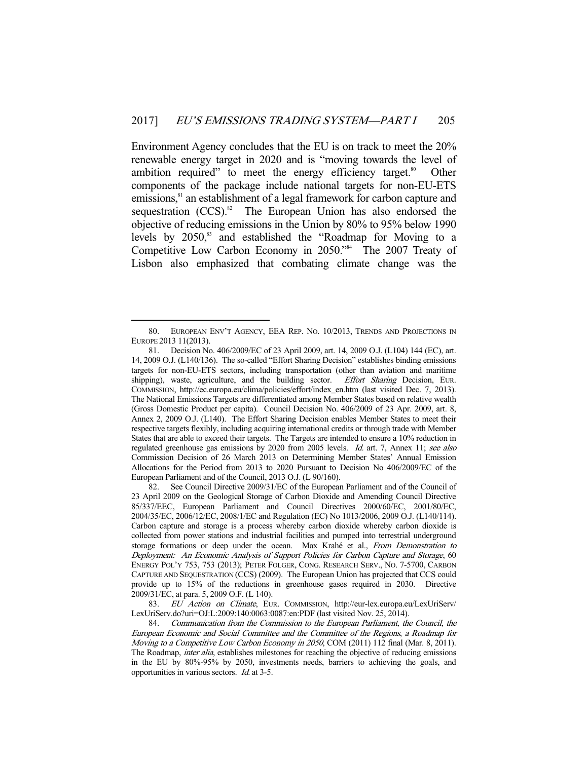Environment Agency concludes that the EU is on track to meet the 20% renewable energy target in 2020 and is "moving towards the level of ambition required" to meet the energy efficiency target. $80^{\circ}$  Other components of the package include national targets for non-EU-ETS emissions,<sup>81</sup> an establishment of a legal framework for carbon capture and sequestration  $(CCS)^{82}$  The European Union has also endorsed the objective of reducing emissions in the Union by 80% to 95% below 1990 levels by  $2050$ ,<sup>83</sup> and established the "Roadmap for Moving to a Competitive Low Carbon Economy in 2050." The 2007 Treaty of Lisbon also emphasized that combating climate change was the

 <sup>80.</sup> EUROPEAN ENV'T AGENCY, EEA REP. NO. 10/2013, TRENDS AND PROJECTIONS IN EUROPE 2013 11(2013).

 <sup>81.</sup> Decision No. 406/2009/EC of 23 April 2009, art. 14, 2009 O.J. (L104) 144 (EC), art. 14, 2009 O.J. (L140/136). The so-called "Effort Sharing Decision" establishes binding emissions targets for non-EU-ETS sectors, including transportation (other than aviation and maritime shipping), waste, agriculture, and the building sector. *Effort Sharing* Decision, EUR. shipping), waste, agriculture, and the building sector. COMMISSION, http://ec.europa.eu/clima/policies/effort/index\_en.htm (last visited Dec. 7, 2013). The National Emissions Targets are differentiated among Member States based on relative wealth (Gross Domestic Product per capita). Council Decision No. 406/2009 of 23 Apr. 2009, art. 8, Annex 2, 2009 O.J. (L140). The Effort Sharing Decision enables Member States to meet their respective targets flexibly, including acquiring international credits or through trade with Member States that are able to exceed their targets. The Targets are intended to ensure a 10% reduction in regulated greenhouse gas emissions by 2020 from 2005 levels. Id. art. 7, Annex 11; see also Commission Decision of 26 March 2013 on Determining Member States' Annual Emission Allocations for the Period from 2013 to 2020 Pursuant to Decision No 406/2009/EC of the European Parliament and of the Council, 2013 O.J. (L 90/160).

 <sup>82.</sup> See Council Directive 2009/31/EC of the European Parliament and of the Council of 23 April 2009 on the Geological Storage of Carbon Dioxide and Amending Council Directive 85/337/EEC, European Parliament and Council Directives 2000/60/EC, 2001/80/EC, 2004/35/EC, 2006/12/EC, 2008/1/EC and Regulation (EC) No 1013/2006, 2009 O.J. (L140/114). Carbon capture and storage is a process whereby carbon dioxide whereby carbon dioxide is collected from power stations and industrial facilities and pumped into terrestrial underground storage formations or deep under the ocean. Max Krahé et al., From Demonstration to Deployment: An Economic Analysis of Support Policies for Carbon Capture and Storage, 60 ENERGY POL'Y 753, 753 (2013); PETER FOLGER, CONG. RESEARCH SERV., NO. 7-5700, CARBON CAPTURE AND SEQUESTRATION (CCS) (2009). The European Union has projected that CCS could provide up to 15% of the reductions in greenhouse gases required in 2030. Directive 2009/31/EC, at para. 5, 2009 O.F. (L 140).

<sup>83.</sup> EU Action on Climate, EUR. COMMISSION, http://eur-lex.europa.eu/LexUriServ/ LexUriServ.do?uri=OJ:L:2009:140:0063:0087:en:PDF (last visited Nov. 25, 2014).

 <sup>84.</sup> Communication from the Commission to the European Parliament, the Council, the European Economic and Social Committee and the Committee of the Regions, a Roadmap for Moving to a Competitive Low Carbon Economy in 2050, COM (2011) 112 final (Mar. 8, 2011). The Roadmap, inter alia, establishes milestones for reaching the objective of reducing emissions in the EU by 80%-95% by 2050, investments needs, barriers to achieving the goals, and opportunities in various sectors. Id. at 3-5.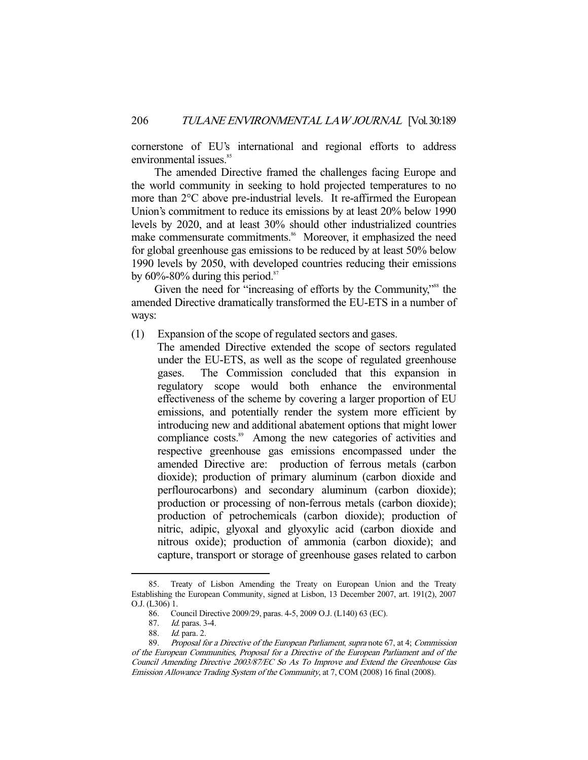cornerstone of EU's international and regional efforts to address environmental issues.<sup>85</sup>

 The amended Directive framed the challenges facing Europe and the world community in seeking to hold projected temperatures to no more than 2°C above pre-industrial levels. It re-affirmed the European Union's commitment to reduce its emissions by at least 20% below 1990 levels by 2020, and at least 30% should other industrialized countries make commensurate commitments.<sup>86</sup> Moreover, it emphasized the need for global greenhouse gas emissions to be reduced by at least 50% below 1990 levels by 2050, with developed countries reducing their emissions by  $60\% - 80\%$  during this period.<sup>87</sup>

Given the need for "increasing of efforts by the Community,"<sup>88</sup> the amended Directive dramatically transformed the EU-ETS in a number of ways:

- (1) Expansion of the scope of regulated sectors and gases.
	- The amended Directive extended the scope of sectors regulated under the EU-ETS, as well as the scope of regulated greenhouse gases. The Commission concluded that this expansion in regulatory scope would both enhance the environmental effectiveness of the scheme by covering a larger proportion of EU emissions, and potentially render the system more efficient by introducing new and additional abatement options that might lower compliance costs.<sup>89</sup> Among the new categories of activities and respective greenhouse gas emissions encompassed under the amended Directive are: production of ferrous metals (carbon dioxide); production of primary aluminum (carbon dioxide and perflourocarbons) and secondary aluminum (carbon dioxide); production or processing of non-ferrous metals (carbon dioxide); production of petrochemicals (carbon dioxide); production of nitric, adipic, glyoxal and glyoxylic acid (carbon dioxide and nitrous oxide); production of ammonia (carbon dioxide); and capture, transport or storage of greenhouse gases related to carbon

 <sup>85.</sup> Treaty of Lisbon Amending the Treaty on European Union and the Treaty Establishing the European Community, signed at Lisbon, 13 December 2007, art. 191(2), 2007 O.J. (L306) 1.

 <sup>86.</sup> Council Directive 2009/29, paras. 4-5, 2009 O.J. (L140) 63 (EC).

 <sup>87.</sup> Id. paras. 3-4.

<sup>88.</sup> *Id.* para. 2.

 <sup>89.</sup> Proposal for a Directive of the European Parliament, supra note 67, at 4; Commission of the European Communities, Proposal for a Directive of the European Parliament and of the Council Amending Directive 2003/87/EC So As To Improve and Extend the Greenhouse Gas Emission Allowance Trading System of the Community, at 7, COM (2008) 16 final (2008).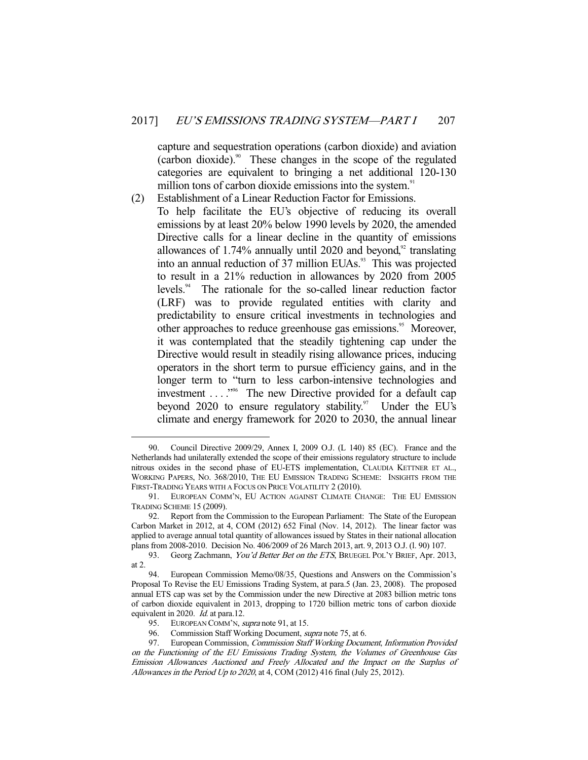capture and sequestration operations (carbon dioxide) and aviation (carbon dioxide).90 These changes in the scope of the regulated categories are equivalent to bringing a net additional 120-130 million tons of carbon dioxide emissions into the system.<sup>91</sup>

(2) Establishment of a Linear Reduction Factor for Emissions. To help facilitate the EU's objective of reducing its overall emissions by at least 20% below 1990 levels by 2020, the amended Directive calls for a linear decline in the quantity of emissions allowances of  $1.74\%$  annually until 2020 and beyond,<sup>92</sup> translating into an annual reduction of 37 million EUAs.<sup>93</sup> This was projected to result in a 21% reduction in allowances by 2020 from 2005 levels.94 The rationale for the so-called linear reduction factor (LRF) was to provide regulated entities with clarity and predictability to ensure critical investments in technologies and other approaches to reduce greenhouse gas emissions.<sup>95</sup> Moreover, it was contemplated that the steadily tightening cap under the Directive would result in steadily rising allowance prices, inducing operators in the short term to pursue efficiency gains, and in the longer term to "turn to less carbon-intensive technologies and investment  $\dots$ ."<sup>96</sup> The new Directive provided for a default cap beyond 2020 to ensure regulatory stability. $97$  Under the EU's climate and energy framework for 2020 to 2030, the annual linear

 <sup>90.</sup> Council Directive 2009/29, Annex I, 2009 O.J. (L 140) 85 (EC). France and the Netherlands had unilaterally extended the scope of their emissions regulatory structure to include nitrous oxides in the second phase of EU-ETS implementation, CLAUDIA KETTNER ET AL., WORKING PAPERS, NO. 368/2010, THE EU EMISSION TRADING SCHEME: INSIGHTS FROM THE FIRST-TRADING YEARS WITH A FOCUS ON PRICE VOLATILITY 2 (2010).

 <sup>91.</sup> EUROPEAN COMM'N, EU ACTION AGAINST CLIMATE CHANGE: THE EU EMISSION TRADING SCHEME 15 (2009).

 <sup>92.</sup> Report from the Commission to the European Parliament: The State of the European Carbon Market in 2012, at 4, COM (2012) 652 Final (Nov. 14, 2012). The linear factor was applied to average annual total quantity of allowances issued by States in their national allocation plans from 2008-2010. Decision No. 406/2009 of 26 March 2013, art. 9, 2013 O.J. (l. 90) 107.

<sup>93.</sup> Georg Zachmann, You'd Better Bet on the ETS, BRUEGEL POL'Y BRIEF, Apr. 2013, at 2.

 <sup>94.</sup> European Commission Memo/08/35, Questions and Answers on the Commission's Proposal To Revise the EU Emissions Trading System, at para.5 (Jan. 23, 2008). The proposed annual ETS cap was set by the Commission under the new Directive at 2083 billion metric tons of carbon dioxide equivalent in 2013, dropping to 1720 billion metric tons of carbon dioxide equivalent in 2020. Id. at para.12.

<sup>95.</sup> EUROPEAN COMM'N, *supra* note 91, at 15.

<sup>96.</sup> Commission Staff Working Document, *supra* note 75, at 6.

<sup>97.</sup> European Commission, Commission Staff Working Document, Information Provided on the Functioning of the EU Emissions Trading System, the Volumes of Greenhouse Gas Emission Allowances Auctioned and Freely Allocated and the Impact on the Surplus of Allowances in the Period Up to 2020, at 4, COM (2012) 416 final (July 25, 2012).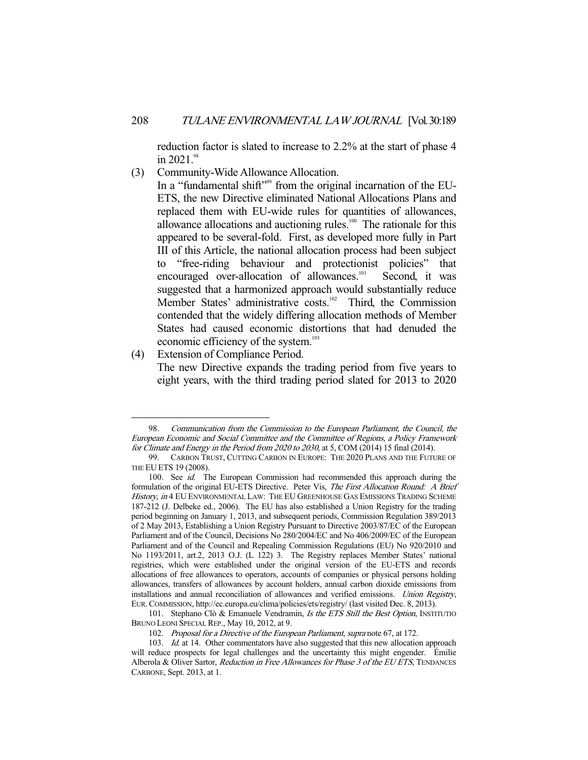reduction factor is slated to increase to 2.2% at the start of phase 4 in 2021.98

(3) Community-Wide Allowance Allocation.

In a "fundamental shift"<sup>99</sup> from the original incarnation of the EU-ETS, the new Directive eliminated National Allocations Plans and replaced them with EU-wide rules for quantities of allowances, allowance allocations and auctioning rules.<sup>100</sup> The rationale for this appeared to be several-fold. First, as developed more fully in Part III of this Article, the national allocation process had been subject to "free-riding behaviour and protectionist policies" that encouraged over-allocation of allowances.<sup>101</sup> Second, it was suggested that a harmonized approach would substantially reduce Member States' administrative costs.<sup>102</sup> Third, the Commission contended that the widely differing allocation methods of Member States had caused economic distortions that had denuded the economic efficiency of the system.<sup>103</sup>

(4) Extension of Compliance Period.

-

The new Directive expands the trading period from five years to eight years, with the third trading period slated for 2013 to 2020

101. Stephano Clò & Emanuele Vendramin, Is the ETS Still the Best Option, INSTITUTIO BRUNO LEONI SPECIAL REP., May 10, 2012, at 9.

 <sup>98.</sup> Communication from the Commission to the European Parliament, the Council, the European Economic and Social Committee and the Committee of Regions, a Policy Framework for Climate and Energy in the Period from 2020 to 2030, at 5, COM (2014) 15 final (2014).

 <sup>99.</sup> CARBON TRUST, CUTTING CARBON IN EUROPE: THE 2020 PLANS AND THE FUTURE OF THE EU ETS 19 (2008).

<sup>100.</sup> See id. The European Commission had recommended this approach during the formulation of the original EU-ETS Directive. Peter Vis, The First Allocation Round: A Brief History, in 4 EU ENVIRONMENTAL LAW: THE EU GREENHOUSE GAS EMISSIONS TRADING SCHEME 187-212 (J. Delbeke ed., 2006). The EU has also established a Union Registry for the trading period beginning on January 1, 2013, and subsequent periods, Commission Regulation 389/2013 of 2 May 2013, Establishing a Union Registry Pursuant to Directive 2003/87/EC of the European Parliament and of the Council, Decisions No 280/2004/EC and No 406/2009/EC of the European Parliament and of the Council and Repealing Commission Regulations (EU) No 920/2010 and No 1193/2011, art.2, 2013 O.J. (L 122) 3. The Registry replaces Member States' national registries, which were established under the original version of the EU-ETS and records allocations of free allowances to operators, accounts of companies or physical persons holding allowances, transfers of allowances by account holders, annual carbon dioxide emissions from installations and annual reconciliation of allowances and verified emissions. Union Registry, EUR.COMMISSION, http://ec.europa.eu/clima/policies/ets/registry/ (last visited Dec. 8, 2013).

<sup>102.</sup> Proposal for a Directive of the European Parliament, supra note 67, at 172.

<sup>103.</sup> Id. at 14. Other commentators have also suggested that this new allocation approach will reduce prospects for legal challenges and the uncertainty this might engender. Émilie Alberola & Oliver Sartor, Reduction in Free Allowances for Phase 3 of the EU ETS, TENDANCES CARBONE, Sept. 2013, at 1.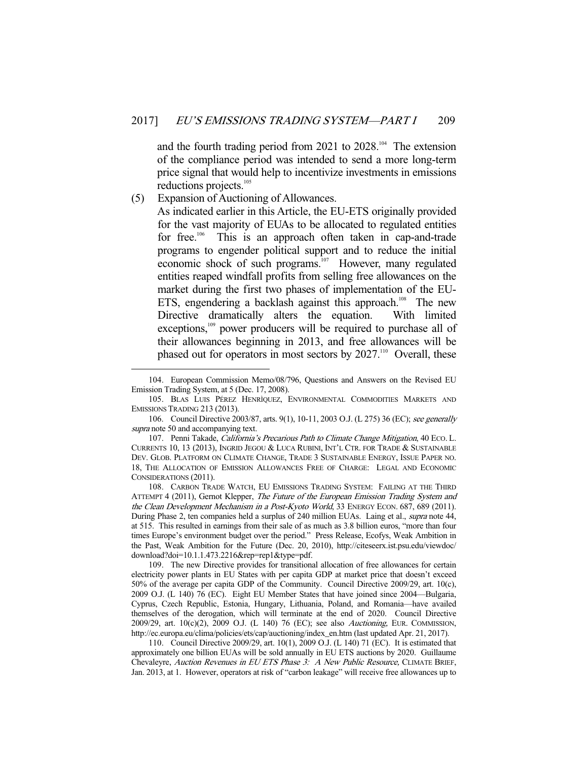and the fourth trading period from 2021 to 2028.<sup>104</sup> The extension of the compliance period was intended to send a more long-term price signal that would help to incentivize investments in emissions reductions projects.<sup>105</sup>

# (5) Expansion of Auctioning of Allowances.

-

As indicated earlier in this Article, the EU-ETS originally provided for the vast majority of EUAs to be allocated to regulated entities for free.<sup>106</sup> This is an approach often taken in cap-and-trade programs to engender political support and to reduce the initial economic shock of such programs.<sup>107</sup> However, many regulated entities reaped windfall profits from selling free allowances on the market during the first two phases of implementation of the EU-ETS, engendering a backlash against this approach.<sup>108</sup> The new Directive dramatically alters the equation. With limited exceptions,<sup>109</sup> power producers will be required to purchase all of their allowances beginning in 2013, and free allowances will be phased out for operators in most sectors by  $2027$ .<sup>110</sup> Overall, these

 <sup>104.</sup> European Commission Memo/08/796, Questions and Answers on the Revised EU Emission Trading System, at 5 (Dec. 17, 2008).

 <sup>105.</sup> BLAS LUIS PÉREZ HENRÌQUEZ, ENVIRONMENTAL COMMODITIES MARKETS AND EMISSIONS TRADING 213 (2013).

<sup>106.</sup> Council Directive 2003/87, arts. 9(1), 10-11, 2003 O.J. (L 275) 36 (EC); see generally supra note 50 and accompanying text.

<sup>107.</sup> Penni Takade, California's Precarious Path to Climate Change Mitigation, 40 Eco. L. CURRENTS 10, 13 (2013), INGRID JEGOU & LUCA RUBINI, INT'L CTR. FOR TRADE & SUSTAINABLE DEV. GLOB. PLATFORM ON CLIMATE CHANGE, TRADE 3 SUSTAINABLE ENERGY, ISSUE PAPER NO. 18, THE ALLOCATION OF EMISSION ALLOWANCES FREE OF CHARGE: LEGAL AND ECONOMIC CONSIDERATIONS (2011).

 <sup>108.</sup> CARBON TRADE WATCH, EU EMISSIONS TRADING SYSTEM: FAILING AT THE THIRD ATTEMPT 4 (2011), Gernot Klepper, The Future of the European Emission Trading System and the Clean Development Mechanism in a Post-Kyoto World, 33 ENERGY ECON. 687, 689 (2011). During Phase 2, ten companies held a surplus of 240 million EUAs. Laing et al., supra note 44, at 515. This resulted in earnings from their sale of as much as 3.8 billion euros, "more than four times Europe's environment budget over the period." Press Release, Ecofys, Weak Ambition in the Past, Weak Ambition for the Future (Dec. 20, 2010), http://citeseerx.ist.psu.edu/viewdoc/ download?doi=10.1.1.473.2216&rep=rep1&type=pdf.

 <sup>109.</sup> The new Directive provides for transitional allocation of free allowances for certain electricity power plants in EU States with per capita GDP at market price that doesn't exceed 50% of the average per capita GDP of the Community. Council Directive 2009/29, art. 10(c), 2009 O.J. (L 140) 76 (EC). Eight EU Member States that have joined since 2004—Bulgaria, Cyprus, Czech Republic, Estonia, Hungary, Lithuania, Poland, and Romania—have availed themselves of the derogation, which will terminate at the end of 2020. Council Directive 2009/29, art. 10(c)(2), 2009 O.J. (L 140) 76 (EC); see also Auctioning, EUR. COMMISSION, http://ec.europa.eu/clima/policies/ets/cap/auctioning/index\_en.htm (last updated Apr. 21, 2017).

 <sup>110.</sup> Council Directive 2009/29, art. 10(1), 2009 O.J. (L 140) 71 (EC). It is estimated that approximately one billion EUAs will be sold annually in EU ETS auctions by 2020. Guillaume Chevaleyre, Auction Revenues in EU ETS Phase 3: A New Public Resource, CLIMATE BRIEF, Jan. 2013, at 1. However, operators at risk of "carbon leakage" will receive free allowances up to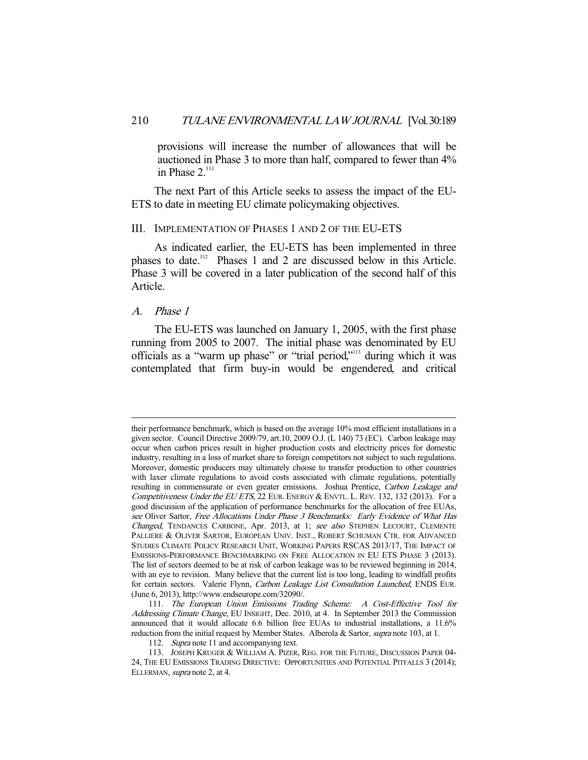provisions will increase the number of allowances that will be auctioned in Phase 3 to more than half, compared to fewer than 4% in Phase  $2^{111}$ 

 The next Part of this Article seeks to assess the impact of the EU-ETS to date in meeting EU climate policymaking objectives.

## III. IMPLEMENTATION OF PHASES 1 AND 2 OF THE EU-ETS

 As indicated earlier, the EU-ETS has been implemented in three phases to date.<sup>112</sup> Phases 1 and 2 are discussed below in this Article. Phase 3 will be covered in a later publication of the second half of this Article.

#### A. Phase 1

-

 The EU-ETS was launched on January 1, 2005, with the first phase running from 2005 to 2007. The initial phase was denominated by EU officials as a "warm up phase" or "trial period,"113 during which it was contemplated that firm buy-in would be engendered, and critical

their performance benchmark, which is based on the average 10% most efficient installations in a given sector. Council Directive 2009/79, art.10, 2009 O.J. (L 140) 73 (EC). Carbon leakage may occur when carbon prices result in higher production costs and electricity prices for domestic industry, resulting in a loss of market share to foreign competitors not subject to such regulations. Moreover, domestic producers may ultimately choose to transfer production to other countries with laxer climate regulations to avoid costs associated with climate regulations, potentially resulting in commensurate or even greater emissions. Joshua Prentice, Carbon Leakage and Competitiveness Under the EU ETS, 22 EUR. ENERGY & ENVTL. L. REV. 132, 132 (2013). For a good discussion of the application of performance benchmarks for the allocation of free EUAs, see Oliver Sartor, Free Allocations Under Phase 3 Benchmarks: Early Evidence of What Has Changed, TENDANCES CARBONE, Apr. 2013, at 1; see also STEPHEN LECOURT, CLEMENTE PALLIERE & OLIVER SARTOR, EUROPEAN UNIV. INST., ROBERT SCHUMAN CTR. FOR ADVANCED STUDIES CLIMATE POLICY RESEARCH UNIT, WORKING PAPERS RSCAS 2013/17, THE IMPACT OF EMISSIONS-PERFORMANCE BENCHMARKING ON FREE ALLOCATION IN EU ETS PHASE 3 (2013). The list of sectors deemed to be at risk of carbon leakage was to be reviewed beginning in 2014, with an eye to revision. Many believe that the current list is too long, leading to windfall profits for certain sectors. Valerie Flynn, Carbon Leakage List Consultation Launched, ENDS EUR. (June 6, 2013), http://www.endseurope.com/32090/.

 <sup>111.</sup> The European Union Emissions Trading Scheme: A Cost-Effective Tool for Addressing Climate Change, EU INSIGHT, Dec. 2010, at 4. In September 2013 the Commission announced that it would allocate 6.6 billion free EUAs to industrial installations, a 11.6% reduction from the initial request by Member States. Alberola & Sartor, supra note 103, at 1.

<sup>112.</sup> Supra note 11 and accompanying text.

 <sup>113.</sup> JOSEPH KRUGER & WILLIAM A. PIZER, REG. FOR THE FUTURE, DISCUSSION PAPER 04- 24, THE EU EMISSIONS TRADING DIRECTIVE: OPPORTUNITIES AND POTENTIAL PITFALLS 3 (2014); ELLERMAN, supra note 2, at 4.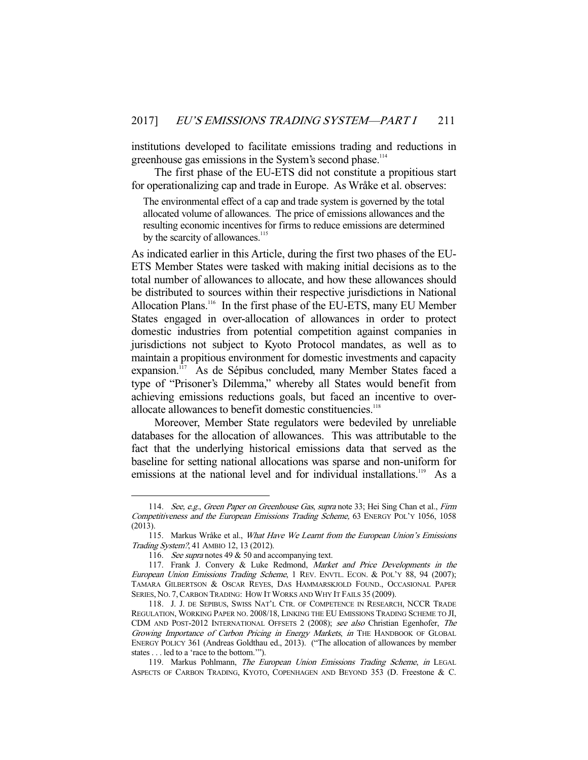institutions developed to facilitate emissions trading and reductions in greenhouse gas emissions in the System's second phase.<sup>114</sup>

 The first phase of the EU-ETS did not constitute a propitious start for operationalizing cap and trade in Europe. As Wråke et al. observes:

The environmental effect of a cap and trade system is governed by the total allocated volume of allowances. The price of emissions allowances and the resulting economic incentives for firms to reduce emissions are determined by the scarcity of allowances.<sup>115</sup>

As indicated earlier in this Article, during the first two phases of the EU-ETS Member States were tasked with making initial decisions as to the total number of allowances to allocate, and how these allowances should be distributed to sources within their respective jurisdictions in National Allocation Plans.<sup>116</sup> In the first phase of the EU-ETS, many EU Member States engaged in over-allocation of allowances in order to protect domestic industries from potential competition against companies in jurisdictions not subject to Kyoto Protocol mandates, as well as to maintain a propitious environment for domestic investments and capacity expansion.<sup>117</sup> As de Sépibus concluded, many Member States faced a type of "Prisoner's Dilemma," whereby all States would benefit from achieving emissions reductions goals, but faced an incentive to overallocate allowances to benefit domestic constituencies.<sup>118</sup>

 Moreover, Member State regulators were bedeviled by unreliable databases for the allocation of allowances. This was attributable to the fact that the underlying historical emissions data that served as the baseline for setting national allocations was sparse and non-uniform for emissions at the national level and for individual installations.<sup>119</sup> As a

<sup>114.</sup> See, e.g., Green Paper on Greenhouse Gas, supra note 33; Hei Sing Chan et al., Firm Competitiveness and the European Emissions Trading Scheme, 63 ENERGY POL'Y 1056, 1058 (2013).

 <sup>115.</sup> Markus Wråke et al., What Have We Learnt from the European Union's Emissions Trading System?, 41 AMBIO 12, 13 (2012).

<sup>116.</sup> See supra notes 49 & 50 and accompanying text.

<sup>117.</sup> Frank J. Convery & Luke Redmond, Market and Price Developments in the European Union Emissions Trading Scheme, 1 REV. ENVTL. ECON. & POL'Y 88, 94 (2007); TAMARA GILBERTSON & OSCAR REYES, DAS HAMMARSKJOLD FOUND., OCCASIONAL PAPER SERIES, NO. 7, CARBON TRADING: HOW IT WORKS AND WHY IT FAILS 35 (2009).

 <sup>118.</sup> J. J. DE SEPIBUS, SWISS NAT'L CTR. OF COMPETENCE IN RESEARCH, NCCR TRADE REGULATION, WORKING PAPER NO. 2008/18, LINKING THE EU EMISSIONS TRADING SCHEME TO JI, CDM AND POST-2012 INTERNATIONAL OFFSETS 2 (2008); see also Christian Egenhofer, The Growing Importance of Carbon Pricing in Energy Markets, in THE HANDBOOK OF GLOBAL ENERGY POLICY 361 (Andreas Goldthau ed., 2013). ("The allocation of allowances by member states . . . led to a 'race to the bottom.'").

<sup>119.</sup> Markus Pohlmann, The European Union Emissions Trading Scheme, in LEGAL ASPECTS OF CARBON TRADING, KYOTO, COPENHAGEN AND BEYOND 353 (D. Freestone & C.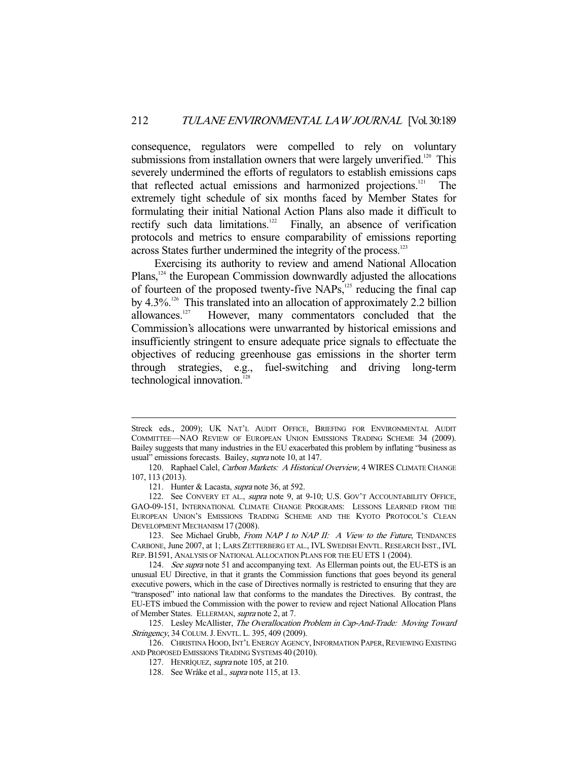consequence, regulators were compelled to rely on voluntary submissions from installation owners that were largely unverified.<sup>120</sup> This severely undermined the efforts of regulators to establish emissions caps that reflected actual emissions and harmonized projections.121 The extremely tight schedule of six months faced by Member States for formulating their initial National Action Plans also made it difficult to rectify such data limitations.<sup>122</sup> Finally, an absence of verification protocols and metrics to ensure comparability of emissions reporting across States further undermined the integrity of the process.<sup>123</sup>

 Exercising its authority to review and amend National Allocation Plans,<sup>124</sup> the European Commission downwardly adjusted the allocations of fourteen of the proposed twenty-five NAPs,<sup>125</sup> reducing the final cap by 4.3%.<sup>126</sup> This translated into an allocation of approximately 2.2 billion allowances.<sup>127</sup> However, many commentators concluded that the However, many commentators concluded that the Commission's allocations were unwarranted by historical emissions and insufficiently stringent to ensure adequate price signals to effectuate the objectives of reducing greenhouse gas emissions in the shorter term<br>through strategies, e.g., fuel-switching and driving long-term fuel-switching and driving long-term technological innovation.<sup>1</sup>

-

123. See Michael Grubb, From NAP I to NAP II: A View to the Future, TENDANCES CARBONE, June 2007, at 1; LARS ZETTERBERG ET AL., IVL SWEDISH ENVTL. RESEARCH INST., IVL REP.B1591, ANALYSIS OF NATIONAL ALLOCATION PLANS FOR THE EU ETS 1 (2004).

124. See supra note 51 and accompanying text. As Ellerman points out, the EU-ETS is an unusual EU Directive, in that it grants the Commission functions that goes beyond its general executive powers, which in the case of Directives normally is restricted to ensuring that they are "transposed" into national law that conforms to the mandates the Directives. By contrast, the EU-ETS imbued the Commission with the power to review and reject National Allocation Plans of Member States. ELLERMAN, supra note 2, at 7.

125. Lesley McAllister, The Overallocation Problem in Cap-And-Trade: Moving Toward Stringency, 34 COLUM. J. ENVTL. L. 395, 409 (2009).

126. CHRISTINA HOOD, INT'L ENERGY AGENCY, INFORMATION PAPER, REVIEWING EXISTING AND PROPOSED EMISSIONS TRADING SYSTEMS 40 (2010).

Streck eds., 2009); UK NAT'L AUDIT OFFICE, BRIEFING FOR ENVIRONMENTAL AUDIT COMMITTEE—NAO REVIEW OF EUROPEAN UNION EMISSIONS TRADING SCHEME 34 (2009). Bailey suggests that many industries in the EU exacerbated this problem by inflating "business as usual" emissions forecasts. Bailey, *supra* note 10, at 147.

<sup>120.</sup> Raphael Calel, Carbon Markets: A Historical Overview, 4 WIRES CLIMATE CHANGE 107, 113 (2013).

<sup>121.</sup> Hunter & Lacasta, *supra* note 36, at 592.

<sup>122.</sup> See CONVERY ET AL., supra note 9, at 9-10; U.S. GOV'T ACCOUNTABILITY OFFICE, GAO-09-151, INTERNATIONAL CLIMATE CHANGE PROGRAMS: LESSONS LEARNED FROM THE EUROPEAN UNION'S EMISSIONS TRADING SCHEME AND THE KYOTO PROTOCOL'S CLEAN DEVELOPMENT MECHANISM 17 (2008).

 <sup>127.</sup> HENRÌQUEZ, supra note 105, at 210.

 <sup>128.</sup> See Wråke et al., supra note 115, at 13.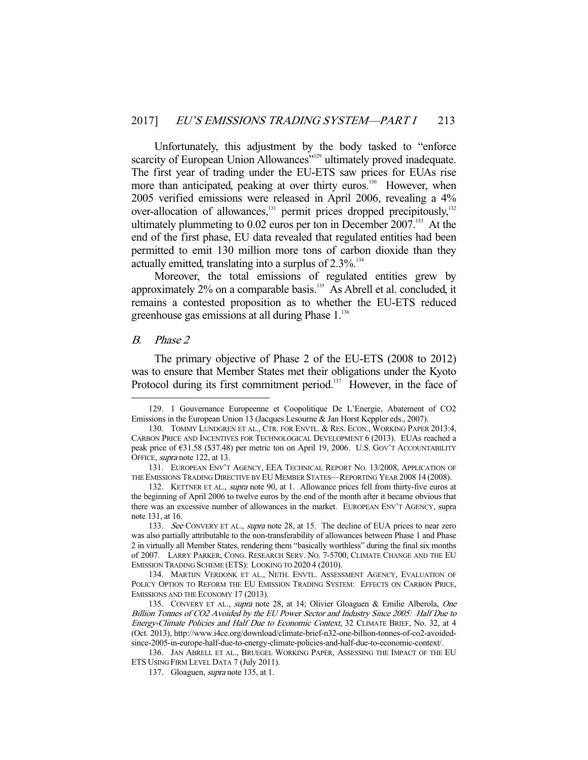Unfortunately, this adjustment by the body tasked to "enforce scarcity of European Union Allowances<sup>"129</sup> ultimately proved inadequate. The first year of trading under the EU-ETS saw prices for EUAs rise more than anticipated, peaking at over thirty euros.<sup>130</sup> However, when 2005 verified emissions were released in April 2006, revealing a 4% over-allocation of allowances,<sup>131</sup> permit prices dropped precipitously,<sup>132</sup> ultimately plummeting to  $0.02$  euros per ton in December  $2007$ <sup>133</sup>. At the end of the first phase, EU data revealed that regulated entities had been permitted to emit 130 million more tons of carbon dioxide than they actually emitted, translating into a surplus of  $2.3\%$ .<sup>134</sup>

 Moreover, the total emissions of regulated entities grew by approximately 2% on a comparable basis.<sup>135</sup> As Abrell et al. concluded, it remains a contested proposition as to whether the EU-ETS reduced greenhouse gas emissions at all during Phase 1.<sup>136</sup>

### B. Phase 2

-

 The primary objective of Phase 2 of the EU-ETS (2008 to 2012) was to ensure that Member States met their obligations under the Kyoto Protocol during its first commitment period.<sup>137</sup> However, in the face of

 <sup>129. 1</sup> Gouvernance Europeenne et Coopolitique De L'Energie, Abatement of CO2 Emissions in the European Union 13 (Jacques Lesourne & Jan Horst Keppler eds., 2007).

 <sup>130.</sup> TOMMY LUNDGREN ET AL., CTR. FOR ENVTL. & RES. ECON., WORKING PAPER 2013:4, CARBON PRICE AND INCENTIVES FOR TECHNOLOGICAL DEVELOPMENT 6 (2013). EUAs reached a peak price of €31.58 (\$37.48) per metric ton on April 19, 2006. U.S. GOV'T ACCOUNTABILITY OFFICE, supra note 122, at 13.

 <sup>131.</sup> EUROPEAN ENV'T AGENCY, EEA TECHNICAL REPORT NO. 13/2008, APPLICATION OF THE EMISSIONS TRADING DIRECTIVE BY EU MEMBER STATES—REPORTING YEAR 2008 14 (2008).

<sup>132.</sup> KETTNER ET AL., *supra* note 90, at 1. Allowance prices fell from thirty-five euros at the beginning of April 2006 to twelve euros by the end of the month after it became obvious that there was an excessive number of allowances in the market. EUROPEAN ENV'T AGENCY, supra note 131, at 16.

<sup>133.</sup> See CONVERY ET AL., supra note 28, at 15. The decline of EUA prices to near zero was also partially attributable to the non-transferability of allowances between Phase 1 and Phase 2 in virtually all Member States, rendering them "basically worthless" during the final six months of 2007. LARRY PARKER, CONG. RESEARCH SERV. NO. 7-5700, CLIMATE CHANGE AND THE EU EMISSION TRADING SCHEME (ETS): LOOKING TO 2020 4 (2010).

 <sup>134.</sup> MARTIJN VERDONK ET AL., NETH. ENVTL. ASSESSMENT AGENCY, EVALUATION OF POLICY OPTION TO REFORM THE EU EMISSION TRADING SYSTEM: EFFECTS ON CARBON PRICE, EMISSIONS AND THE ECONOMY 17 (2013).

<sup>135.</sup> CONVERY ET AL., supra note 28, at 14; Olivier Gloaguen & Emilie Alberola, One Billion Tonnes of CO2 Avoided by the EU Power Sector and Industry Since 2005: Half Due to Energy-Climate Policies and Half Due to Economic Context, 32 CLIMATE BRIEF, No. 32, at 4 (Oct. 2013), http://www.i4ce.org/download/climate-brief-n32-one-billion-tonnes-of-co2-avoidedsince-2005-in-europe-half-due-to-energy-climate-policies-and-half-due-to-economic-context/.

 <sup>136.</sup> JAN ABRELL ET AL., BRUEGEL WORKING PAPER, ASSESSING THE IMPACT OF THE EU ETS USING FIRM LEVEL DATA 7 (July 2011).

<sup>137.</sup> Gloaguen, *supra* note 135, at 1.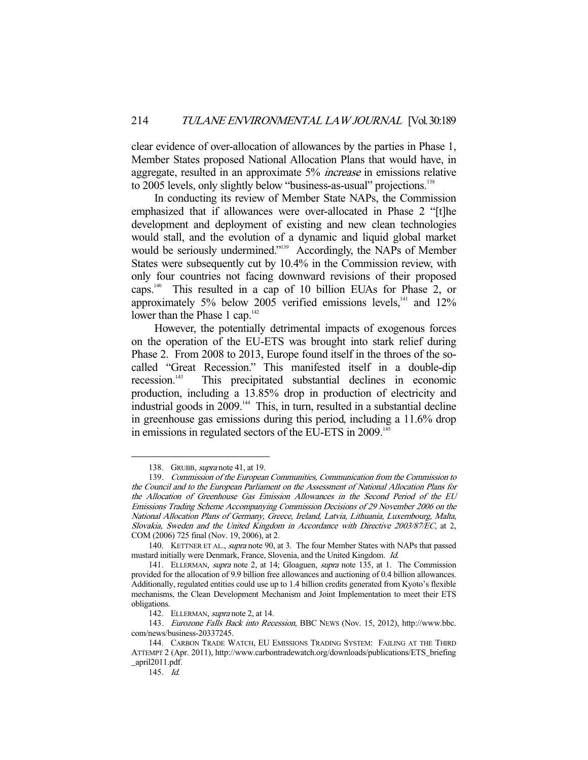clear evidence of over-allocation of allowances by the parties in Phase 1, Member States proposed National Allocation Plans that would have, in aggregate, resulted in an approximate 5% increase in emissions relative to 2005 levels, only slightly below "business-as-usual" projections.<sup>138</sup>

 In conducting its review of Member State NAPs, the Commission emphasized that if allowances were over-allocated in Phase 2 "[t]he development and deployment of existing and new clean technologies would stall, and the evolution of a dynamic and liquid global market would be seriously undermined."<sup>139</sup> Accordingly, the NAPs of Member States were subsequently cut by 10.4% in the Commission review, with only four countries not facing downward revisions of their proposed caps.140 This resulted in a cap of 10 billion EUAs for Phase 2, or approximately 5% below 2005 verified emissions levels, $141$  and  $12\%$ lower than the Phase 1 cap. $142$ 

 However, the potentially detrimental impacts of exogenous forces on the operation of the EU-ETS was brought into stark relief during Phase 2. From 2008 to 2013, Europe found itself in the throes of the socalled "Great Recession." This manifested itself in a double-dip recession.<sup>143</sup> This precipitated substantial declines in economic This precipitated substantial declines in economic production, including a 13.85% drop in production of electricity and industrial goods in 2009.<sup>144</sup> This, in turn, resulted in a substantial decline in greenhouse gas emissions during this period, including a 11.6% drop in emissions in regulated sectors of the EU-ETS in 2009.<sup>145</sup>

<sup>138.</sup> GRUBB, *supra* note 41, at 19.

 <sup>139.</sup> Commission of the European Communities, Communication from the Commission to the Council and to the European Parliament on the Assessment of National Allocation Plans for the Allocation of Greenhouse Gas Emission Allowances in the Second Period of the EU Emissions Trading Scheme Accompanying Commission Decisions of 29 November 2006 on the National Allocation Plans of Germany, Greece, Ireland, Latvia, Lithuania, Luxembourg, Malta, Slovakia, Sweden and the United Kingdom in Accordance with Directive 2003/87/EC, at 2, COM (2006) 725 final (Nov. 19, 2006), at 2.

<sup>140.</sup> KETTNER ET AL., supra note 90, at 3. The four Member States with NAPs that passed mustard initially were Denmark, France, Slovenia, and the United Kingdom. Id.

<sup>141.</sup> ELLERMAN, *supra* note 2, at 14; Gloaguen, *supra* note 135, at 1. The Commission provided for the allocation of 9.9 billion free allowances and auctioning of 0.4 billion allowances. Additionally, regulated entities could use up to 1.4 billion credits generated from Kyoto's flexible mechanisms, the Clean Development Mechanism and Joint Implementation to meet their ETS obligations.

<sup>142.</sup> ELLERMAN, *supra* note 2, at 14.

 <sup>143.</sup> Eurozone Falls Back into Recession, BBC NEWS (Nov. 15, 2012), http://www.bbc. com/news/business-20337245.

 <sup>144.</sup> CARBON TRADE WATCH, EU EMISSIONS TRADING SYSTEM: FAILING AT THE THIRD ATTEMPT 2 (Apr. 2011), http://www.carbontradewatch.org/downloads/publications/ETS\_briefing \_april2011.pdf.

 <sup>145.</sup> Id.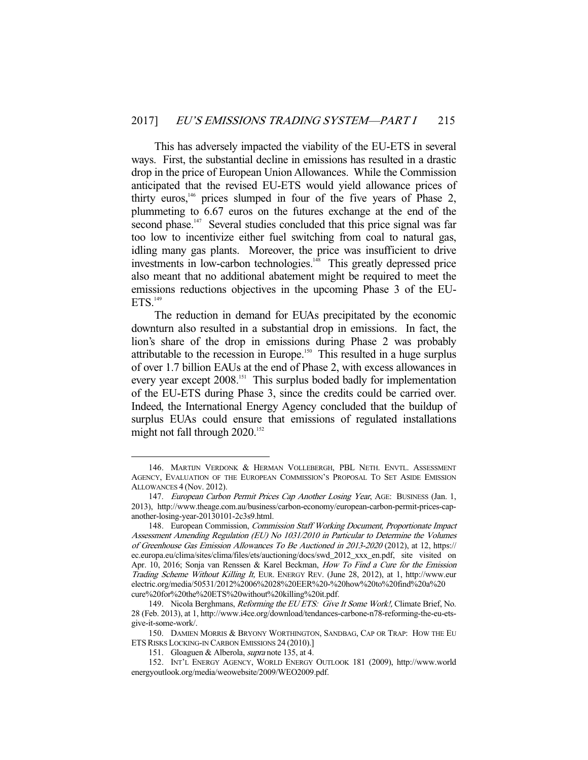This has adversely impacted the viability of the EU-ETS in several ways. First, the substantial decline in emissions has resulted in a drastic drop in the price of European Union Allowances. While the Commission anticipated that the revised EU-ETS would yield allowance prices of thirty euros,  $146$  prices slumped in four of the five years of Phase 2, plummeting to 6.67 euros on the futures exchange at the end of the second phase.<sup>147</sup> Several studies concluded that this price signal was far too low to incentivize either fuel switching from coal to natural gas, idling many gas plants. Moreover, the price was insufficient to drive investments in low-carbon technologies.<sup>148</sup> This greatly depressed price also meant that no additional abatement might be required to meet the emissions reductions objectives in the upcoming Phase 3 of the EU- $ETS.<sub>149</sub>$ 

 The reduction in demand for EUAs precipitated by the economic downturn also resulted in a substantial drop in emissions. In fact, the lion's share of the drop in emissions during Phase 2 was probably attributable to the recession in Europe.150 This resulted in a huge surplus of over 1.7 billion EAUs at the end of Phase 2, with excess allowances in every year except 2008.<sup>151</sup> This surplus boded badly for implementation of the EU-ETS during Phase 3, since the credits could be carried over. Indeed, the International Energy Agency concluded that the buildup of surplus EUAs could ensure that emissions of regulated installations might not fall through 2020.<sup>152</sup>

 <sup>146.</sup> MARTIJN VERDONK & HERMAN VOLLEBERGH, PBL NETH. ENVTL. ASSESSMENT AGENCY, EVALUATION OF THE EUROPEAN COMMISSION'S PROPOSAL TO SET ASIDE EMISSION ALLOWANCES 4 (Nov. 2012).

<sup>147.</sup> European Carbon Permit Prices Cap Another Losing Year, AGE: BUSINESS (Jan. 1, 2013), http://www.theage.com.au/business/carbon-economy/european-carbon-permit-prices-capanother-losing-year-20130101-2c3s9.html.

<sup>148.</sup> European Commission, Commission Staff Working Document, Proportionate Impact Assessment Amending Regulation (EU) No 1031/2010 in Particular to Determine the Volumes of Greenhouse Gas Emission Allowances To Be Auctioned in 2013-2020 (2012), at 12, https:// ec.europa.eu/clima/sites/clima/files/ets/auctioning/docs/swd\_2012\_xxx\_en.pdf, site visited on Apr. 10, 2016; Sonja van Renssen & Karel Beckman, How To Find a Cure for the Emission Trading Scheme Without Killing It, EUR. ENERGY REV. (June 28, 2012), at 1, http://www.eur electric.org/media/50531/2012%2006%2028%20EER%20-%20how%20to%20find%20a%20 cure%20for%20the%20ETS%20without%20killing%20it.pdf.

<sup>149.</sup> Nicola Berghmans, Reforming the EU ETS: Give It Some Work!, Climate Brief, No. 28 (Feb. 2013), at 1, http://www.i4ce.org/download/tendances-carbone-n78-reforming-the-eu-etsgive-it-some-work/.

 <sup>150.</sup> DAMIEN MORRIS & BRYONY WORTHINGTON, SANDBAG, CAP OR TRAP: HOW THE EU ETS RISKS LOCKING-IN CARBON EMISSIONS 24 (2010).]

<sup>151.</sup> Gloaguen & Alberola, *supra* note 135, at 4.

 <sup>152.</sup> INT'L ENERGY AGENCY, WORLD ENERGY OUTLOOK 181 (2009), http://www.world energyoutlook.org/media/weowebsite/2009/WEO2009.pdf.